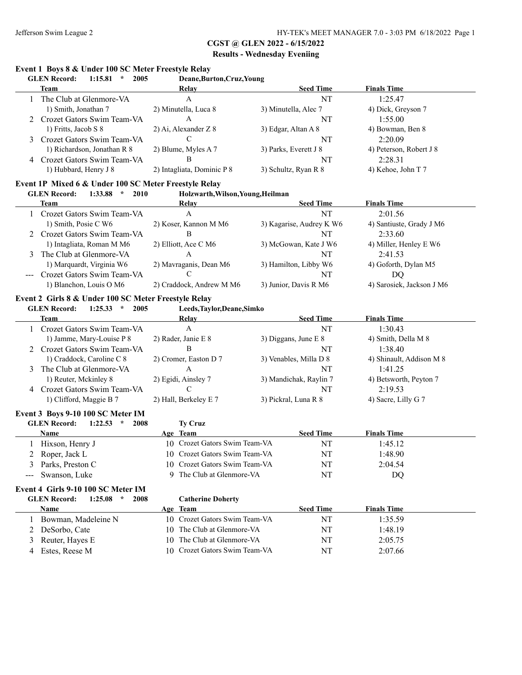# **CGST @ GLEN 2022 - 6/15/2022**

## **Results - Wednesday Eveniing**

# **Event 1 Boys 8 & Under 100 SC Meter Freestyle Relay**

|   | <b>GLEN Record:</b><br>1:15.81<br>2005<br>$\star$ | Deane, Burton, Cruz, Young |                       |                         |
|---|---------------------------------------------------|----------------------------|-----------------------|-------------------------|
|   | Team                                              | Relay                      | <b>Seed Time</b>      | <b>Finals Time</b>      |
|   | The Club at Glenmore-VA                           | A                          | NT                    | 1:25.47                 |
|   | 1) Smith, Jonathan 7                              | 2) Minutella, Luca 8       | 3) Minutella, Alec 7  | 4) Dick, Greyson 7      |
|   | Crozet Gators Swim Team-VA                        | A                          | NT                    | 1:55.00                 |
|   | 1) Fritts, Jacob S 8                              | $2)$ Ai, Alexander Z 8     | 3) Edgar, Altan A 8   | 4) Bowman, Ben 8        |
| 3 | Crozet Gators Swim Team-VA                        |                            | NT                    | 2:20.09                 |
|   | 1) Richardson, Jonathan R 8                       | 2) Blume, Myles A 7        | 3) Parks, Everett J 8 | 4) Peterson, Robert J 8 |
| 4 | Crozet Gators Swim Team-VA                        | B                          | NT                    | 2:28.31                 |
|   | 1) Hubbard, Henry J 8                             | 2) Intagliata, Dominic P 8 | 3) Schultz, Ryan R 8  | 4) Kehoe, John T 7      |

#### **Event 1P Mixed 6 & Under 100 SC Meter Freestyle Relay**

#### **GLEN Record: 1:33.88 \* 2010 Holzwarth,Wilson,Young,Heilman**

| Team                         | Relay                    | <b>Seed Time</b>         | <b>Finals Time</b>        |
|------------------------------|--------------------------|--------------------------|---------------------------|
| Crozet Gators Swim Team-VA   | А                        | NT                       | 2:01.56                   |
| 1) Smith, Posie C W6         | 2) Koser, Kannon M M6    | 3) Kagarise, Audrey K W6 | 4) Santiuste, Grady J M6  |
| 2 Crozet Gators Swim Team-VA | B                        | NT                       | 2:33.60                   |
| 1) Intagliata, Roman M M6    | 2) Elliott, Ace C M6     | 3) McGowan, Kate J W6    | 4) Miller, Henley E W6    |
| The Club at Glenmore-VA      | A                        | NT                       | 2:41.53                   |
| 1) Marquardt, Virginia W6    | 2) Mavraganis, Dean M6   | 3) Hamilton, Libby W6    | 4) Goforth, Dylan M5      |
| Crozet Gators Swim Team-VA   |                          | NT                       | DO                        |
| 1) Blanchon, Louis O M6      | 2) Craddock, Andrew M M6 | 3) Junior, Davis R M6    | 4) Sarosiek, Jackson J M6 |

#### **Event 2 Girls 8 & Under 100 SC Meter Freestyle Relay**

**GLEN Record: 1:25.33 \* 2005 Leeds,Taylor,Deane,Simko**

|   | Team                         | Relay                 | <b>Seed Time</b>       | <b>Finals Time</b>       |  |
|---|------------------------------|-----------------------|------------------------|--------------------------|--|
|   | Crozet Gators Swim Team-VA   | А                     | NT                     | 1:30.43                  |  |
|   | 1) Jamme, Mary-Louise P 8    | 2) Rader, Janie E 8   | 3) Diggans, June $E_8$ | 4) Smith, Della M 8      |  |
|   | 2 Crozet Gators Swim Team-VA | B                     | NT                     | 1:38.40                  |  |
|   | 1) Craddock, Caroline C 8    | 2) Cromer, Easton D 7 | 3) Venables, Milla D 8 | 4) Shinault, Addison M 8 |  |
|   | The Club at Glenmore-VA      | A                     | NT                     | 1.4125                   |  |
|   | 1) Reuter, Mckinley 8        | 2) Egidi, Ainsley 7   | 3) Mandichak, Raylin 7 | 4) Betsworth, Peyton 7   |  |
| 4 | Crozet Gators Swim Team-VA   |                       | NT                     | 2:19.53                  |  |
|   | 1) Clifford, Maggie B 7      | 2) Hall, Berkeley E 7 | 3) Pickral, Luna R 8   | 4) Sacre, Lilly G 7      |  |

#### **Event 3 Boys 9-10 100 SC Meter IM**

| 1:22.53<br><b>GLEN Record:</b><br>2008<br>$\star$ | <b>Tv Cruz</b>                |                  |                    |  |
|---------------------------------------------------|-------------------------------|------------------|--------------------|--|
| <b>Name</b>                                       | Age Team                      | <b>Seed Time</b> | <b>Finals Time</b> |  |
| Hixson, Henry J                                   | 10 Crozet Gators Swim Team-VA | NT               | 1:45.12            |  |
| 2 Roper, Jack L                                   | 10 Crozet Gators Swim Team-VA | NT               | 1:48.90            |  |
| 3 Parks, Preston C                                | 10 Crozet Gators Swim Team-VA | NT               | 2:04.54            |  |
| --- Swanson, Luke                                 | The Club at Glenmore-VA       | NT               | DO                 |  |

#### **Event 4 Girls 9-10 100 SC Meter IM**

| 1:25.08<br><b>GLEN Record:</b> | 2008<br><b>Catherine Doherty</b><br>$\star$ |                  |                    |  |
|--------------------------------|---------------------------------------------|------------------|--------------------|--|
| Name                           | Team<br>Age                                 | <b>Seed Time</b> | <b>Finals Time</b> |  |
| Bowman, Madeleine N            | 10 Crozet Gators Swim Team-VA               | NT               | 1:35.59            |  |
| 2 DeSorbo, Cate                | 10 The Club at Glenmore-VA                  | NT               | 1:48.19            |  |
| 3 Reuter, Hayes E              | 10 The Club at Glenmore-VA                  | NT               | 2:05.75            |  |
| Estes, Reese M<br>4            | 10 Crozet Gators Swim Team-VA               | NT               | 2:07.66            |  |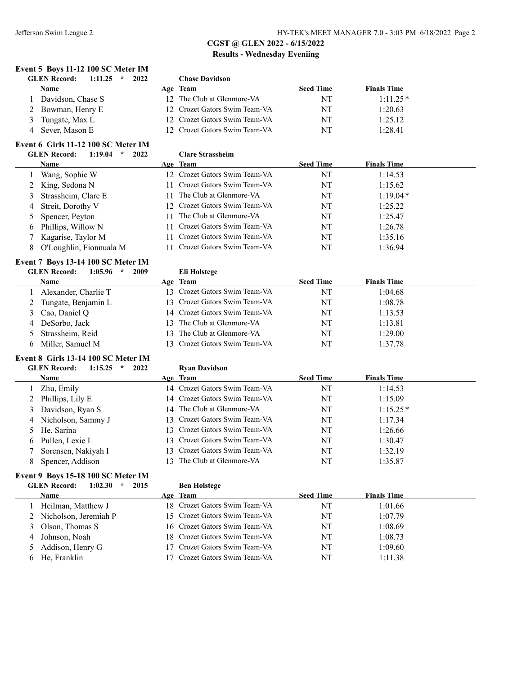|   | Event 5 Boys 11-12 100 SC Meter IM                |    |                               |                  |                    |  |
|---|---------------------------------------------------|----|-------------------------------|------------------|--------------------|--|
|   | <b>GLEN Record:</b><br>1:11.25<br>$\star$<br>2022 |    | <b>Chase Davidson</b>         |                  |                    |  |
|   | Name                                              |    | Age Team                      | <b>Seed Time</b> | <b>Finals Time</b> |  |
| 1 | Davidson, Chase S                                 |    | 12 The Club at Glenmore-VA    | NT               | $1:11.25*$         |  |
| 2 | Bowman, Henry E                                   |    | 12 Crozet Gators Swim Team-VA | NT               | 1:20.63            |  |
| 3 | Tungate, Max L                                    |    | 12 Crozet Gators Swim Team-VA | NT               | 1:25.12            |  |
| 4 | Sever, Mason E                                    |    | 12 Crozet Gators Swim Team-VA | NT               | 1:28.41            |  |
|   | Event 6 Girls 11-12 100 SC Meter IM               |    |                               |                  |                    |  |
|   | <b>GLEN</b> Record:<br>$1:19.04$ *<br>2022        |    | <b>Clare Strassheim</b>       |                  |                    |  |
|   | Name                                              |    | Age Team                      | <b>Seed Time</b> | <b>Finals Time</b> |  |
|   | Wang, Sophie W                                    |    | 12 Crozet Gators Swim Team-VA | NT               | 1:14.53            |  |
| 2 | King, Sedona N                                    | 11 | Crozet Gators Swim Team-VA    | NT               | 1:15.62            |  |
| 3 | Strassheim, Clare E                               | 11 | The Club at Glenmore-VA       | NT               | $1:19.04*$         |  |
| 4 | Streit, Dorothy V                                 | 12 | Crozet Gators Swim Team-VA    | NT               | 1:25.22            |  |
| 5 | Spencer, Peyton                                   | 11 | The Club at Glenmore-VA       | NT               | 1:25.47            |  |
| 6 | Phillips, Willow N                                | 11 | Crozet Gators Swim Team-VA    | NT               | 1:26.78            |  |
| 7 | Kagarise, Taylor M                                | 11 | Crozet Gators Swim Team-VA    | NT               | 1:35.16            |  |
| 8 | O'Loughlin, Fionnuala M                           | 11 | Crozet Gators Swim Team-VA    | NT               | 1:36.94            |  |
|   | Event 7 Boys 13-14 100 SC Meter IM                |    |                               |                  |                    |  |
|   | <b>GLEN Record:</b><br>$1:05.96$ *<br>2009        |    | <b>Eli Holstege</b>           |                  |                    |  |
|   | Name                                              |    | Age Team                      | <b>Seed Time</b> | <b>Finals Time</b> |  |
| 1 | Alexander, Charlie T                              |    | 13 Crozet Gators Swim Team-VA | NT               | 1:04.68            |  |
| 2 | Tungate, Benjamin L                               |    | 13 Crozet Gators Swim Team-VA | NT               | 1:08.78            |  |
| 3 | Cao, Daniel Q                                     |    | 14 Crozet Gators Swim Team-VA | NT               | 1:13.53            |  |
| 4 | DeSorbo, Jack                                     |    | 13 The Club at Glenmore-VA    | NT               | 1:13.81            |  |
| 5 | Strassheim, Reid                                  |    | 13 The Club at Glenmore-VA    | NT               | 1:29.00            |  |
| 6 | Miller, Samuel M                                  |    | 13 Crozet Gators Swim Team-VA | NT               | 1:37.78            |  |
|   | Event 8 Girls 13-14 100 SC Meter IM               |    |                               |                  |                    |  |
|   | <b>GLEN</b> Record:<br>1:15.25<br>$\star$<br>2022 |    | <b>Ryan Davidson</b>          |                  |                    |  |
|   | Name                                              |    | Age Team                      | <b>Seed Time</b> | <b>Finals Time</b> |  |
|   | 1 Zhu, Emily                                      |    | 14 Crozet Gators Swim Team-VA | NT               | 1:14.53            |  |
| 2 | Phillips, Lily E                                  |    | 14 Crozet Gators Swim Team-VA | NT               | 1:15.09            |  |
| 3 | Davidson, Ryan S                                  |    | 14 The Club at Glenmore-VA    | NT               | $1:15.25*$         |  |
| 4 | Nicholson, Sammy J                                |    | 13 Crozet Gators Swim Team-VA | NT               | 1:17.34            |  |
| 5 | He, Sarina                                        |    | 13 Crozet Gators Swim Team-VA | NT               | 1:26.66            |  |
| 6 | Pullen, Lexie L                                   | 13 | Crozet Gators Swim Team-VA    | NT               | 1:30.47            |  |
| 7 | Sorensen, Nakiyah I                               |    | 13 Crozet Gators Swim Team-VA | NT               | 1:32.19            |  |

### **Event 9 Boys 15-18 100 SC Meter IM**

|    | <b>GLEN Record:</b><br>2015<br>1:02.30<br>$\star$ | <b>Ben Holstege</b>           |                  |                    |
|----|---------------------------------------------------|-------------------------------|------------------|--------------------|
|    | <b>Name</b>                                       | Age Team                      | <b>Seed Time</b> | <b>Finals Time</b> |
|    | Heilman, Matthew J                                | 18 Crozet Gators Swim Team-VA | NT               | 1:01.66            |
|    | 2 Nicholson, Jeremiah P                           | 15 Crozet Gators Swim Team-VA | NT               | 1:07.79            |
| 3. | Olson, Thomas S                                   | 16 Crozet Gators Swim Team-VA | NT               | 1:08.69            |
| 4  | Johnson, Noah                                     | 18 Crozet Gators Swim Team-VA | NT               | 1:08.73            |
|    | Addison, Henry G                                  | 17 Crozet Gators Swim Team-VA | NT               | 1:09.60            |
| b  | He, Franklin                                      | 7 Crozet Gators Swim Team-VA  | NT               | 1:11.38            |

8 Spencer, Addison 13 The Club at Glenmore-VA NT 1:35.87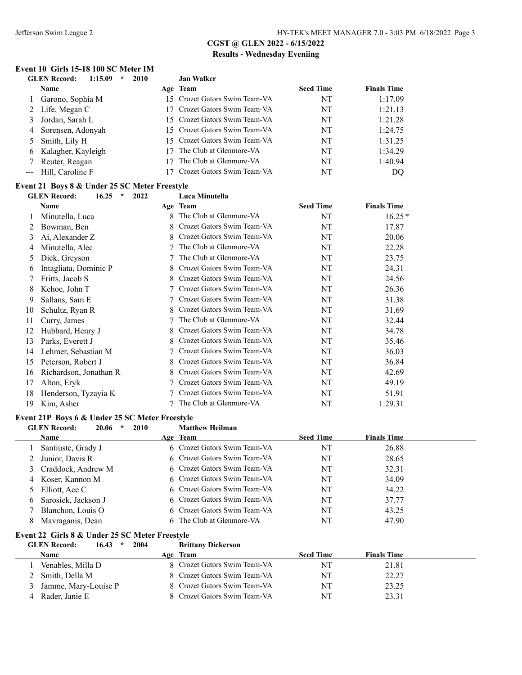$\overline{a}$ 

## **CGST @ GLEN 2022 - 6/15/2022 Results - Wednesday Eveniing**

#### **Event 10 Girls 15-18 100 SC Meter IM**

| 1:15.09<br><b>GLEN Record:</b><br>÷ | 2010<br><b>Jan Walker</b>     |                  |                    |
|-------------------------------------|-------------------------------|------------------|--------------------|
| <b>Name</b>                         | Age Team                      | <b>Seed Time</b> | <b>Finals Time</b> |
| Garono, Sophia M                    | 15 Crozet Gators Swim Team-VA | NT               | 1:17.09            |
| Life, Megan C<br>2                  | 17 Crozet Gators Swim Team-VA | NT               | 1:21.13            |
| Jordan, Sarah L                     | 15 Crozet Gators Swim Team-VA | NT               | 1:21.28            |
| Sorensen, Adonyah<br>4              | 15 Crozet Gators Swim Team-VA | NT               | 1:24.75            |
| Smith, Lily H                       | 15 Crozet Gators Swim Team-VA | NT               | 1:31.25            |
| Kalagher, Kayleigh<br>6             | The Club at Glenmore-VA       | NT               | 1:34.29            |
| Reuter, Reagan                      | The Club at Glenmore-VA       | NT               | 1:40.94            |
| Hill, Caroline F                    | Crozet Gators Swim Team-VA    | NT               | DO                 |

#### **Event 21 Boys 8 & Under 25 SC Meter Freestyle**

|               | $\star$<br><b>GLEN</b> Record:<br>16.25<br>2022 | Luca Minutella                   |                  |                    |  |
|---------------|-------------------------------------------------|----------------------------------|------------------|--------------------|--|
|               | Name                                            | Age Team                         | <b>Seed Time</b> | <b>Finals Time</b> |  |
|               | Minutella, Luca                                 | 8 The Club at Glenmore-VA        | NT               | $16.25*$           |  |
|               | Bowman, Ben                                     | Crozet Gators Swim Team-VA<br>8  | NT               | 17.87              |  |
| 3             | Ai, Alexander Z                                 | Crozet Gators Swim Team-VA<br>8. | NT               | 20.06              |  |
|               | Minutella, Alec                                 | The Club at Glenmore-VA          | NT               | 22.28              |  |
| $\mathcal{L}$ | Dick, Greyson                                   | The Club at Glenmore-VA          | NT               | 23.75              |  |
| 6             | Intagliata, Dominic P                           | 8 Crozet Gators Swim Team-VA     | NT               | 24.31              |  |
|               | Fritts, Jacob S                                 | Crozet Gators Swim Team-VA<br>8. | NT               | 24.56              |  |
| 8             | Kehoe, John T                                   | Crozet Gators Swim Team-VA       | NT               | 26.36              |  |
| 9             | Sallans, Sam E                                  | 7 Crozet Gators Swim Team-VA     | NT               | 31.38              |  |
| 10            | Schultz, Ryan R                                 | Crozet Gators Swim Team-VA<br>8  | NT               | 31.69              |  |
| 11            | Curry, James                                    | The Club at Glenmore-VA          | NT               | 32.44              |  |
| 12            | Hubbard, Henry J                                | Crozet Gators Swim Team-VA<br>8. | NT               | 34.78              |  |
| 13            | Parks, Everett J                                | Crozet Gators Swim Team-VA       | NT               | 35.46              |  |
| 14            | Lehmer, Sebastian M                             | 7 Crozet Gators Swim Team-VA     | NT               | 36.03              |  |
| 15            | Peterson, Robert J                              | 8 Crozet Gators Swim Team-VA     | NT               | 36.84              |  |
| 16            | Richardson, Jonathan R                          | 8 Crozet Gators Swim Team-VA     | NT               | 42.69              |  |
| 17            | Alton, Eryk                                     | Crozet Gators Swim Team-VA       | NT               | 49.19              |  |
| 18            | Henderson, Tyzayia K                            | Crozet Gators Swim Team-VA       | NT               | 51.91              |  |
| 19            | Kim, Asher                                      | The Club at Glenmore-VA          | NT               | 1:29.31            |  |

#### **Event 21P Boys 6 & Under 25 SC Meter Freestyle**

| <b>GLEN Record:</b><br>20.06<br><b>2010</b><br>$\star$ |          | <b>Matthew Heilman</b>       |                  |                    |
|--------------------------------------------------------|----------|------------------------------|------------------|--------------------|
| <b>Name</b>                                            | Age Team |                              | <b>Seed Time</b> | <b>Finals Time</b> |
| Santiuste, Grady J                                     |          | 6 Crozet Gators Swim Team-VA | NT               | 26.88              |
| 2 Junior, Davis R                                      |          | 6 Crozet Gators Swim Team-VA | NT               | 28.65              |
| 3 Craddock, Andrew M                                   |          | 6 Crozet Gators Swim Team-VA | NT               | 32.31              |
| 4 Koser, Kannon M                                      |          | 6 Crozet Gators Swim Team-VA | NT               | 34.09              |
| 5 Elliott, Ace C                                       |          | 6 Crozet Gators Swim Team-VA | NT               | 34.22              |
| 6 Sarosiek, Jackson J                                  |          | 6 Crozet Gators Swim Team-VA | NT               | 37.77              |
| Blanchon, Louis O                                      |          | 6 Crozet Gators Swim Team-VA | NT               | 43.25              |
| Mavraganis, Dean                                       |          | 6 The Club at Glenmore-VA    | NT               | 47.90              |

#### **Event 22 Girls 8 & Under 25 SC Meter Freestyle**

**GLEN Record: 16.43 \* 2004 Brittany Dickerson**

| <b>Name</b>            | Age Team                     | <b>Seed Time</b> | <b>Finals Time</b> |
|------------------------|------------------------------|------------------|--------------------|
| Venables, Milla D      | 8 Crozet Gators Swim Team-VA | NT               | 21.81              |
| 2 Smith, Della M       | 8 Crozet Gators Swim Team-VA | NT               | 22.27              |
| 3 Jamme, Mary-Louise P | 8 Crozet Gators Swim Team-VA | NT               | 23.25              |
| Rader, Janie E         | 8 Crozet Gators Swim Team-VA | NT               | 23.31              |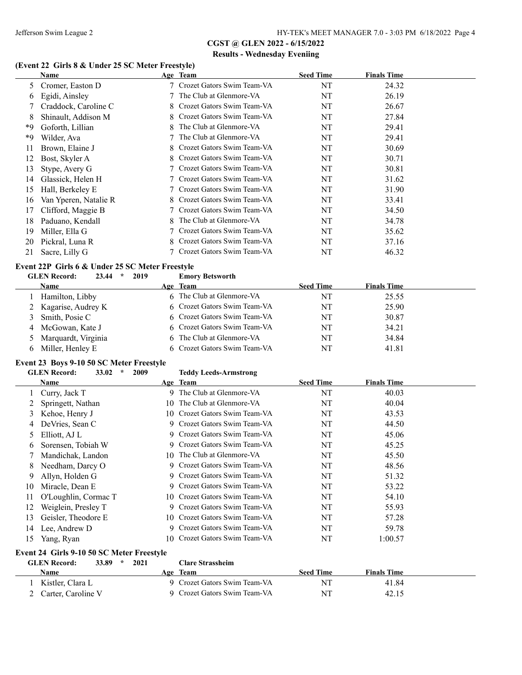#### **(Event 22 Girls 8 & Under 25 SC Meter Freestyle)**

|    | Name                  |    | Age Team                     | <b>Seed Time</b> | <b>Finals Time</b> |
|----|-----------------------|----|------------------------------|------------------|--------------------|
| 5  | Cromer, Easton D      |    | Crozet Gators Swim Team-VA   | NT               | 24.32              |
| 6  | Egidi, Ainsley        |    | The Club at Glenmore-VA      | NT               | 26.19              |
|    | Craddock, Caroline C  | 8. | Crozet Gators Swim Team-VA   | NT               | 26.67              |
| 8  | Shinault, Addison M   |    | Crozet Gators Swim Team-VA   | NT               | 27.84              |
| *9 | Goforth, Lillian      | 8  | The Club at Glenmore-VA      | NT               | 29.41              |
| *9 | Wilder, Ava           |    | The Club at Glenmore-VA      | NT               | 29.41              |
| 11 | Brown, Elaine J       | 8. | Crozet Gators Swim Team-VA   | NT               | 30.69              |
| 12 | Bost, Skyler A        | 8. | Crozet Gators Swim Team-VA   | NT               | 30.71              |
| 13 | Stype, Avery G        |    | Crozet Gators Swim Team-VA   | NT               | 30.81              |
| 14 | Glassick, Helen H     |    | Crozet Gators Swim Team-VA   | NT               | 31.62              |
| 15 | Hall, Berkeley E      |    | Crozet Gators Swim Team-VA   | NT               | 31.90              |
| 16 | Van Yperen, Natalie R | 8. | Crozet Gators Swim Team-VA   | NT               | 33.41              |
| 17 | Clifford, Maggie B    |    | Crozet Gators Swim Team-VA   | NT               | 34.50              |
| 18 | Paduano, Kendall      | 8  | The Club at Glenmore-VA      | NT               | 34.78              |
| 19 | Miller, Ella G        |    | Crozet Gators Swim Team-VA   | NT               | 35.62              |
| 20 | Pickral, Luna R       |    | 8 Crozet Gators Swim Team-VA | NT               | 37.16              |
| 21 | Sacre, Lilly G        |    | 7 Crozet Gators Swim Team-VA | NT               | 46.32              |

# **Event 22P Girls 6 & Under 25 SC Meter Freestyle<br>
GLEN Record:** 23.44  $*$  2019 Emory Betsworth

|    | <b>GLEN Record:</b><br>23.44<br>2019<br>$\star$ | <b>Emory Betsworth</b>       |                  |                    |  |
|----|-------------------------------------------------|------------------------------|------------------|--------------------|--|
|    | Name                                            | Age Team                     | <b>Seed Time</b> | <b>Finals Time</b> |  |
|    | Hamilton, Libby                                 | 6 The Club at Glenmore-VA    | NT               | 25.55              |  |
|    | 2 Kagarise, Audrey K                            | 6 Crozet Gators Swim Team-VA | NT               | 25.90              |  |
|    | Smith, Posie C                                  | 6 Crozet Gators Swim Team-VA | NT               | 30.87              |  |
| 4  | McGowan, Kate J                                 | 6 Crozet Gators Swim Team-VA | NT               | 34.21              |  |
|    | Marquardt, Virginia                             | 6 The Club at Glenmore-VA    | NT               | 34.84              |  |
| 6. | Miller, Henley E                                | 6 Crozet Gators Swim Team-VA | NT               | 41.81              |  |

#### **Event 23 Boys 9-10 50 SC Meter Freestyle**

|               | $\star$<br>33.02<br><b>GLEN Record:</b><br>2009 |     | <b>Teddy Leeds-Armstrong</b>  |                  |                    |
|---------------|-------------------------------------------------|-----|-------------------------------|------------------|--------------------|
|               | Name                                            |     | Age Team                      | <b>Seed Time</b> | <b>Finals Time</b> |
|               | Curry, Jack T                                   |     | 9 The Club at Glenmore-VA     | NT               | 40.03              |
| 2             | Springett, Nathan                               | 10. | The Club at Glenmore-VA       | NT               | 40.04              |
| 3             | Kehoe, Henry J                                  |     | 10 Crozet Gators Swim Team-VA | NT               | 43.53              |
| 4             | DeVries, Sean C                                 |     | 9 Crozet Gators Swim Team-VA  | NT               | 44.50              |
| $\mathcal{D}$ | Elliott, AJ L                                   |     | 9 Crozet Gators Swim Team-VA  | NT               | 45.06              |
| 6             | Sorensen, Tobiah W                              | 9   | Crozet Gators Swim Team-VA    | NT               | 45.25              |
|               | Mandichak, Landon                               |     | 10 The Club at Glenmore-VA    | NT               | 45.50              |
| 8             | Needham, Darcy O                                |     | 9 Crozet Gators Swim Team-VA  | NT               | 48.56              |
| 9             | Allyn, Holden G                                 |     | 9 Crozet Gators Swim Team-VA  | NT               | 51.32              |
| 10            | Miracle, Dean E                                 | 9   | Crozet Gators Swim Team-VA    | NT               | 53.22              |
| 11            | O'Loughlin, Cormac T                            |     | 10 Crozet Gators Swim Team-VA | NT               | 54.10              |
| 12            | Weiglein, Presley T                             | 9   | Crozet Gators Swim Team-VA    | NT               | 55.93              |
| 13            | Geisler, Theodore E                             |     | 10 Crozet Gators Swim Team-VA | NT               | 57.28              |
| 14            | Lee, Andrew D                                   | 9   | Crozet Gators Swim Team-VA    | NT               | 59.78              |
| 15.           | Yang, Ryan                                      |     | 10 Crozet Gators Swim Team-VA | NT               | 1:00.57            |

#### **Event 24 Girls 9-10 50 SC Meter Freestyle**

| <b>GLEN</b> Record: | 2021<br>33.89<br>$\star$ |     | <b>Clare Strassheim</b>      |                  |                    |  |
|---------------------|--------------------------|-----|------------------------------|------------------|--------------------|--|
| Name                |                          | Age | <b>Team</b>                  | <b>Seed Time</b> | <b>Finals Time</b> |  |
| Kistler, Clara L    |                          |     | 9 Crozet Gators Swim Team-VA | NT               | 41.84              |  |
| Carter, Caroline V  |                          |     | 9 Crozet Gators Swim Team-VA | NT               | 42.15              |  |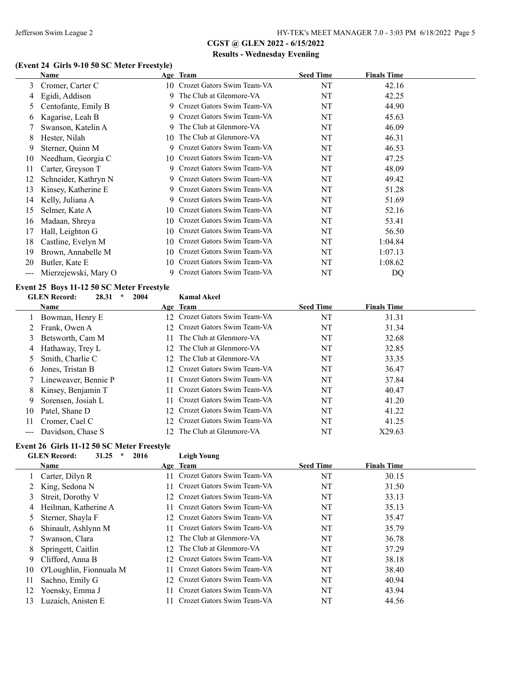### **(Event 24 Girls 9-10 50 SC Meter Freestyle)**

|     | Name                 |     | Age Team                      | <b>Seed Time</b> | <b>Finals Time</b> |  |
|-----|----------------------|-----|-------------------------------|------------------|--------------------|--|
| 3   | Cromer, Carter C     |     | 10 Crozet Gators Swim Team-VA | NT               | 42.16              |  |
| 4   | Egidi, Addison       | 9   | The Club at Glenmore-VA       | NT               | 42.25              |  |
| 5   | Centofante, Emily B  | 9   | Crozet Gators Swim Team-VA    | NT               | 44.90              |  |
| 6   | Kagarise, Leah B     | 9   | Crozet Gators Swim Team-VA    | NT               | 45.63              |  |
|     | Swanson, Katelin A   | 9   | The Club at Glenmore-VA       | NT               | 46.09              |  |
| 8   | Hester, Nilah        | 10  | The Club at Glenmore-VA       | NT               | 46.31              |  |
| 9   | Sterner, Quinn M     | 9   | Crozet Gators Swim Team-VA    | NT               | 46.53              |  |
| 10  | Needham, Georgia C   |     | 10 Crozet Gators Swim Team-VA | NT               | 47.25              |  |
| 11  | Carter, Greyson T    | 9   | Crozet Gators Swim Team-VA    | NT               | 48.09              |  |
| 12  | Schneider, Kathryn N |     | 9 Crozet Gators Swim Team-VA  | NT               | 49.42              |  |
| 13  | Kinsey, Katherine E  | 9.  | Crozet Gators Swim Team-VA    | NT               | 51.28              |  |
| 14  | Kelly, Juliana A     | 9   | Crozet Gators Swim Team-VA    | NT               | 51.69              |  |
| 15  | Selmer, Kate A       | 10- | Crozet Gators Swim Team-VA    | NT               | 52.16              |  |
| 16  | Madaan, Shreya       | 10  | Crozet Gators Swim Team-VA    | NT               | 53.41              |  |
| 17  | Hall, Leighton G     | 10- | Crozet Gators Swim Team-VA    | NT               | 56.50              |  |
| 18  | Castline, Evelyn M   | 10. | Crozet Gators Swim Team-VA    | NT               | 1:04.84            |  |
| 19  | Brown, Annabelle M   | 10- | Crozet Gators Swim Team-VA    | NT               | 1:07.13            |  |
| 20  | Butler, Kate E       | 10. | Crozet Gators Swim Team-VA    | NT               | 1:08.62            |  |
| --- | Mierzejewski, Mary O | 9   | Crozet Gators Swim Team-VA    | NT               | DQ                 |  |

### **Event 25 Boys 11-12 50 SC Meter Freestyle**

|                   | <b>GLEN</b> Record:<br>28.31<br>$\star$<br>2004 |                 | <b>Kamal Akeel</b>            |                  |                    |
|-------------------|-------------------------------------------------|-----------------|-------------------------------|------------------|--------------------|
|                   | Name                                            |                 | Age Team                      | <b>Seed Time</b> | <b>Finals Time</b> |
|                   | 1 Bowman, Henry E                               |                 | 12 Crozet Gators Swim Team-VA | NT               | 31.31              |
|                   | Frank, Owen A                                   |                 | 12 Crozet Gators Swim Team-VA | NT               | 31.34              |
| 3                 | Betsworth, Cam M                                | 11.             | The Club at Glenmore-VA       | NT               | 32.68              |
| 4                 | Hathaway, Trey L                                | 12.             | The Club at Glenmore-VA       | NT               | 32.85              |
|                   | Smith, Charlie C                                |                 | 12 The Club at Glenmore-VA    | NT               | 33.35              |
| 6                 | Jones, Tristan B                                |                 | 12 Crozet Gators Swim Team-VA | NT               | 36.47              |
|                   | Lineweaver, Bennie P                            |                 | 11 Crozet Gators Swim Team-VA | NT               | 37.84              |
| 8                 | Kinsey, Benjamin T                              |                 | 11 Crozet Gators Swim Team-VA | NT               | 40.47              |
| 9                 | Sorensen, Josiah L                              |                 | 11 Crozet Gators Swim Team-VA | NT               | 41.20              |
| 10                | Patel, Shane D                                  |                 | 12 Crozet Gators Swim Team-VA | NT               | 41.22              |
| 11                | Cromer, Cael C                                  | 12 <sup>7</sup> | Crozet Gators Swim Team-VA    | NT               | 41.25              |
| $\qquad \qquad -$ | Davidson, Chase S                               |                 | 12 The Club at Glenmore-VA    | NT               | X29.63             |

# **Event 26 Girls 11-12 50 SC Meter Freestyle**<br>GLEN Becord: 31.25 \* 2016

|    | <b>GLEN</b> Record:<br>31.25<br>2016<br>$\star$ |                 | Leigh Young                |                  |                    |
|----|-------------------------------------------------|-----------------|----------------------------|------------------|--------------------|
|    | Name                                            |                 | Age Team                   | <b>Seed Time</b> | <b>Finals Time</b> |
|    | Carter, Dilyn R                                 |                 | Crozet Gators Swim Team-VA | NT               | 30.15              |
|    | King, Sedona N                                  |                 | Crozet Gators Swim Team-VA | NT               | 31.50              |
| 3  | Streit, Dorothy V                               | 12              | Crozet Gators Swim Team-VA | NT               | 33.13              |
| 4  | Heilman, Katherine A                            |                 | Crozet Gators Swim Team-VA | NT               | 35.13              |
| 5  | Sterner, Shayla F                               | 12.             | Crozet Gators Swim Team-VA | NT               | 35.47              |
| 6  | Shinault, Ashlynn M                             |                 | Crozet Gators Swim Team-VA | NT               | 35.79              |
|    | Swanson, Clara                                  | $12 -$          | The Club at Glenmore-VA    | NT               | 36.78              |
| 8  | Springett, Caitlin                              | 12              | The Club at Glenmore-VA    | NT               | 37.29              |
| 9  | Clifford, Anna B                                | $12^{-}$        | Crozet Gators Swim Team-VA | NT               | 38.18              |
| 10 | O'Loughlin, Fionnuala M                         |                 | Crozet Gators Swim Team-VA | NT               | 38.40              |
| 11 | Sachno, Emily G                                 | $\overline{12}$ | Crozet Gators Swim Team-VA | NT               | 40.94              |
| 12 | Yoensky, Emma J                                 |                 | Crozet Gators Swim Team-VA | NT               | 43.94              |
| 13 | Luzaich, Anisten E                              |                 | Crozet Gators Swim Team-VA | NT               | 44.56              |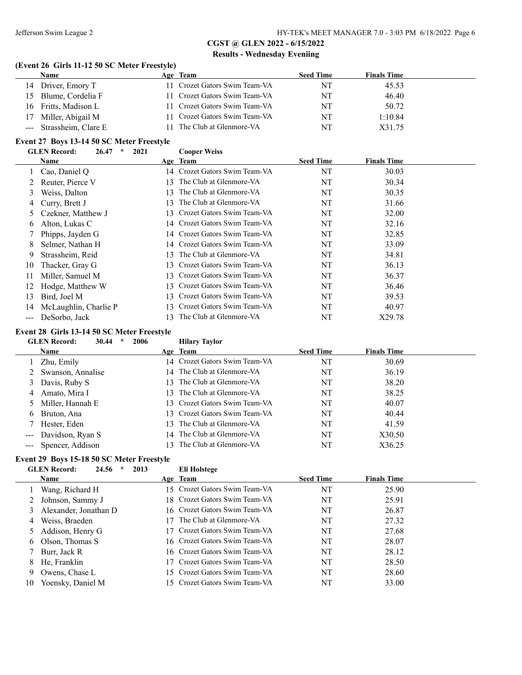#### **(Event 26 Girls 11-12 50 SC Meter Freestyle)**

| <b>Name</b>             | Age Team                      | <b>Seed Time</b> | <b>Finals Time</b> |
|-------------------------|-------------------------------|------------------|--------------------|
| 14 Driver, Emory T      | 11 Crozet Gators Swim Team-VA | NT               | 45.53              |
| 15 Blume, Cordelia F    | 11 Crozet Gators Swim Team-VA | NT               | 46.40              |
| 16 Fritts, Madison L    | 11 Crozet Gators Swim Team-VA | NT               | 50.72              |
| 17 Miller, Abigail M    | 11 Crozet Gators Swim Team-VA | NT               | 1:10.84            |
| --- Strassheim, Clare E | 11 The Club at Glenmore-VA    | NT               | X31.75             |

#### **Event 27 Boys 13-14 50 SC Meter Freestyle**

|     | <b>GLEN</b> Record:<br>26.47<br>$\star$ | 2021 | <b>Cooper Weiss</b>           |                  |                    |  |
|-----|-----------------------------------------|------|-------------------------------|------------------|--------------------|--|
|     | Name                                    |      | Age Team                      | <b>Seed Time</b> | <b>Finals Time</b> |  |
|     | Cao, Daniel Q                           |      | 14 Crozet Gators Swim Team-VA | NT               | 30.03              |  |
| 2   | Reuter, Pierce V                        | 13   | The Club at Glenmore-VA       | NT               | 30.34              |  |
| 3   | Weiss, Dalton                           | 13.  | The Club at Glenmore-VA       | NT               | 30.35              |  |
| 4   | Curry, Brett J                          | 13   | The Club at Glenmore-VA       | NT               | 31.66              |  |
| 5.  | Czekner, Matthew J                      | 13   | Crozet Gators Swim Team-VA    | NT               | 32.00              |  |
| 6   | Alton, Lukas C                          |      | 14 Crozet Gators Swim Team-VA | NT               | 32.16              |  |
|     | Phipps, Jayden G                        |      | 14 Crozet Gators Swim Team-VA | NT               | 32.85              |  |
| 8   | Selmer, Nathan H                        |      | 14 Crozet Gators Swim Team-VA | NT               | 33.09              |  |
| 9   | Strassheim, Reid                        | 13   | The Club at Glenmore-VA       | NT               | 34.81              |  |
| 10  | Thacker, Gray G                         | 13   | Crozet Gators Swim Team-VA    | NT               | 36.13              |  |
| 11  | Miller, Samuel M                        |      | 13 Crozet Gators Swim Team-VA | NT               | 36.37              |  |
| 12  | Hodge, Matthew W                        | 13   | Crozet Gators Swim Team-VA    | NT               | 36.46              |  |
| 13  | Bird, Joel M                            | 13   | Crozet Gators Swim Team-VA    | NT               | 39.53              |  |
| 14  | McLaughlin, Charlie P                   | 13   | Crozet Gators Swim Team-VA    | NT               | 40.97              |  |
| --- | DeSorbo, Jack                           |      | The Club at Glenmore-VA       | NT               | X29.78             |  |

#### **Event 28 Girls 13-14 50 SC Meter Freestyle**

## **GLEN Record: 30.44 \* 2006 Hilary Taylor**

| <b>Name</b>          |     | Age Team                      | <b>Seed Time</b> | <b>Finals Time</b> |  |
|----------------------|-----|-------------------------------|------------------|--------------------|--|
| Zhu, Emily           |     | 14 Crozet Gators Swim Team-VA | NT               | 30.69              |  |
| 2 Swanson, Annalise  |     | 14 The Club at Glenmore-VA    | NT               | 36.19              |  |
| 3 Davis, Ruby S      | 13. | The Club at Glenmore-VA       | NT               | 38.20              |  |
| 4 Amato, Mira I      |     | 13 The Club at Glenmore-VA    | NT               | 38.25              |  |
| 5 Miller, Hannah E   |     | 13 Crozet Gators Swim Team-VA | NT               | 40.07              |  |
| 6 Bruton, Ana        |     | 13 Crozet Gators Swim Team-VA | NT               | 40.44              |  |
| 7 Hester, Eden       |     | 13 The Club at Glenmore-VA    | NT               | 41.59              |  |
| --- Davidson, Ryan S |     | 14 The Club at Glenmore-VA    | NT               | X30.50             |  |
| --- Spencer, Addison | 13. | The Club at Glenmore-VA       | NT               | X36.25             |  |

### **Event 29 Boys 15-18 50 SC Meter Freestyle**

|    | <b>GLEN</b> Record:<br>24.56<br>2013<br>÷ |     | Eli Holstege                  |                  |                    |
|----|-------------------------------------------|-----|-------------------------------|------------------|--------------------|
|    | <b>Name</b>                               |     | Age Team                      | <b>Seed Time</b> | <b>Finals Time</b> |
|    | Wang, Richard H                           |     | 15 Crozet Gators Swim Team-VA | NT               | 25.90              |
|    | Johnson, Sammy J                          |     | 18 Crozet Gators Swim Team-VA | NT               | 25.91              |
|    | Alexander, Jonathan D                     |     | 16 Crozet Gators Swim Team-VA | NT               | 26.87              |
| 4  | Weiss, Braeden                            | 17. | The Club at Glenmore-VA       | NT               | 27.32              |
|    | Addison, Henry G                          |     | 17 Crozet Gators Swim Team-VA | NT               | 27.68              |
| 6  | Olson, Thomas S                           |     | 16 Crozet Gators Swim Team-VA | NT               | 28.07              |
|    | Burr, Jack R                              |     | 16 Crozet Gators Swim Team-VA | NT               | 28.12              |
| 8  | He, Franklin                              |     | Crozet Gators Swim Team-VA    | NT               | 28.50              |
| 9  | Owens, Chase L                            |     | 15 Crozet Gators Swim Team-VA | NT               | 28.60              |
| 10 | Yoensky, Daniel M                         |     | 15 Crozet Gators Swim Team-VA | NT               | 33.00              |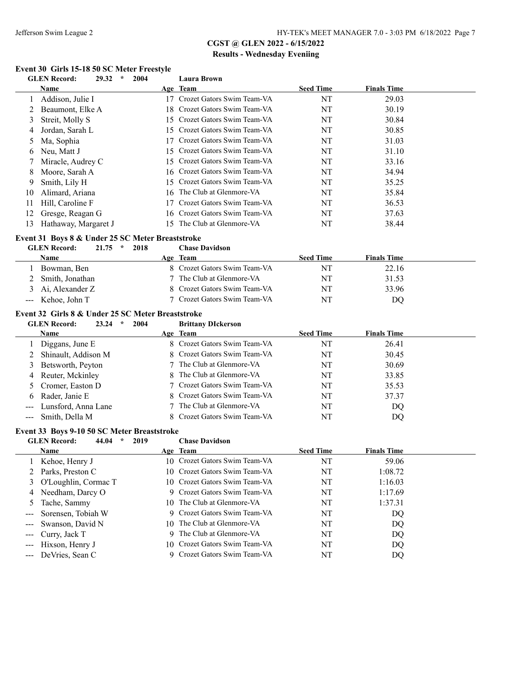#### **Event 30 Girls 15-18 50 SC Meter Freestyle**<br>CLEN Becord: 20.32  $*$  2004 **GLEN Record: 29.32 \* 2004 Laura Brown**

|    | GLEIN RECOLU.<br>29.JZ<br>4004 |     | L'aura Drowll                 |                  |                    |
|----|--------------------------------|-----|-------------------------------|------------------|--------------------|
|    | Name                           |     | Age Team                      | <b>Seed Time</b> | <b>Finals Time</b> |
|    | Addison, Julie I               | 17. | Crozet Gators Swim Team-VA    | NT               | 29.03              |
|    | Beaumont, Elke A               |     | 18 Crozet Gators Swim Team-VA | NT               | 30.19              |
| 3  | Streit, Molly S                |     | 15 Crozet Gators Swim Team-VA | NT               | 30.84              |
| 4  | Jordan, Sarah L                |     | 15 Crozet Gators Swim Team-VA | NT               | 30.85              |
| 5  | Ma, Sophia                     | 17  | Crozet Gators Swim Team-VA    | NT               | 31.03              |
| 6  | Neu, Matt J                    |     | 15 Crozet Gators Swim Team-VA | NT               | 31.10              |
|    | Miracle, Audrey C              |     | 15 Crozet Gators Swim Team-VA | NT               | 33.16              |
| 8  | Moore, Sarah A                 |     | 16 Crozet Gators Swim Team-VA | NT               | 34.94              |
| 9  | Smith, Lily H                  |     | 15 Crozet Gators Swim Team-VA | NT               | 35.25              |
| 10 | Alimard, Ariana                | 16. | The Club at Glenmore-VA       | NT               | 35.84              |
| 11 | Hill, Caroline F               |     | Crozet Gators Swim Team-VA    | NT               | 36.53              |
| 12 | Gresge, Reagan G               |     | 16 Crozet Gators Swim Team-VA | NT               | 37.63              |
| 13 | Hathaway, Margaret J           | 5   | The Club at Glenmore-VA       | NT               | 38.44              |
|    |                                |     |                               |                  |                    |

### **Event 31 Boys 8 & Under 25 SC Meter Breaststroke**

#### **GLEN Record: 21.75 \* 2018 Chase Davidson**

| Name              | Age Team                     | <b>Seed Time</b> | <b>Finals Time</b> |
|-------------------|------------------------------|------------------|--------------------|
| Bowman, Ben       | 8 Crozet Gators Swim Team-VA | NT               | 22.16              |
| 2 Smith, Jonathan | 7 The Club at Glenmore-VA    | NT               | 31.53              |
| Ai, Alexander Z   | 8 Crozet Gators Swim Team-VA | NT               | 33.96              |
| Kehoe, John T     | 7 Crozet Gators Swim Team-VA | NT               | DQ                 |

#### **Event 32 Girls 8 & Under 25 SC Meter Breaststroke**

| <b>GLEN Record:</b> | 23.24 |  | 2004 | <b>Brittany DIckerson</b> |
|---------------------|-------|--|------|---------------------------|
|---------------------|-------|--|------|---------------------------|

| <b>Name</b>             | Age Team                     | <b>Seed Time</b> | <b>Finals Time</b> |  |
|-------------------------|------------------------------|------------------|--------------------|--|
| Diggans, June E         | 8 Crozet Gators Swim Team-VA | NT               | 26.41              |  |
| 2 Shinault, Addison M   | 8 Crozet Gators Swim Team-VA | NT               | 30.45              |  |
| 3 Betsworth, Peyton     | 7 The Club at Glenmore-VA    | NT               | 30.69              |  |
| 4 Reuter, Mckinley      | 8 The Club at Glenmore-VA    | NT               | 33.85              |  |
| 5 Cromer, Easton D      | 7 Crozet Gators Swim Team-VA | NT               | 35.53              |  |
| 6 Rader, Janie E        | 8 Crozet Gators Swim Team-VA | NT               | 37.37              |  |
| --- Lunsford, Anna Lane | 7 The Club at Glenmore-VA    | NT               | DO                 |  |
| --- Smith, Della M      | 8 Crozet Gators Swim Team-VA | NT               | DO                 |  |

### **Event 33 Boys 9-10 50 SC Meter Breaststroke**

|    | <b>GLEN</b> Record:<br>2019<br>44.04<br>$\ast$ | <b>Chase Davidson</b>         |                  |                    |
|----|------------------------------------------------|-------------------------------|------------------|--------------------|
|    | Name                                           | Age Team                      | <b>Seed Time</b> | <b>Finals Time</b> |
|    | Kehoe, Henry J                                 | 10 Crozet Gators Swim Team-VA | NT               | 59.06              |
|    | 2 Parks, Preston C                             | 10 Crozet Gators Swim Team-VA | NT               | 1:08.72            |
|    | 3 O'Loughlin, Cormac T                         | 10 Crozet Gators Swim Team-VA | NT               | 1:16.03            |
| 4  | Needham, Darcy O                               | 9 Crozet Gators Swim Team-VA  | NT               | 1:17.69            |
| 5. | Tache, Sammy                                   | 10 The Club at Glenmore-VA    | NT               | 1:37.31            |
|    | --- Sorensen, Tobiah W                         | 9 Crozet Gators Swim Team-VA  | NT               | DQ                 |
|    | --- Swanson, David N                           | 10 The Club at Glenmore-VA    | NT               | DQ                 |
|    | --- Curry, Jack T                              | 9 The Club at Glenmore-VA     | NT               | DQ                 |
|    | Hixson, Henry J                                | 10 Crozet Gators Swim Team-VA | NT               | DQ                 |
|    | DeVries, Sean C                                | 9 Crozet Gators Swim Team-VA  | NT               | DQ                 |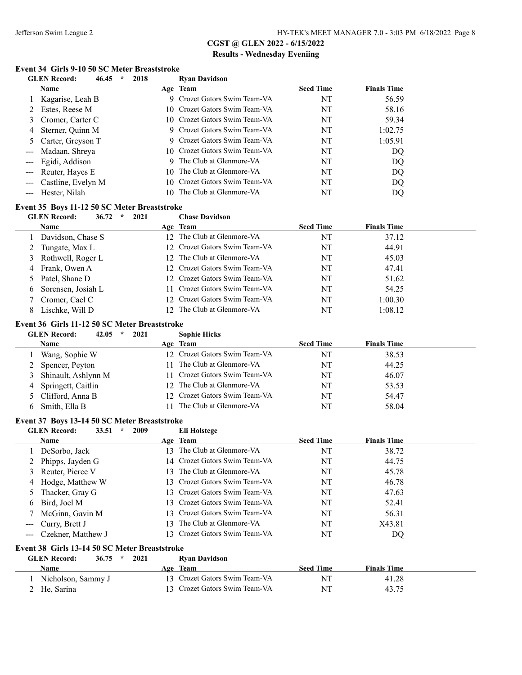#### **Event 34 Girls 9-10 50 SC Meter Breaststroke**

|                                          | $\star$<br><b>GLEN</b> Record:<br>46.45<br>2018 |     | <b>Ryan Davidson</b>          |                  |                    |  |
|------------------------------------------|-------------------------------------------------|-----|-------------------------------|------------------|--------------------|--|
|                                          | Name                                            |     | Age Team                      | <b>Seed Time</b> | <b>Finals Time</b> |  |
|                                          | Kagarise, Leah B                                | 9.  | Crozet Gators Swim Team-VA    | NT               | 56.59              |  |
|                                          | Estes, Reese M                                  |     | 10 Crozet Gators Swim Team-VA | NT               | 58.16              |  |
| 3                                        | Cromer, Carter C                                |     | 10 Crozet Gators Swim Team-VA | NT               | 59.34              |  |
|                                          | Sterner, Quinn M                                |     | 9 Crozet Gators Swim Team-VA  | NT               | 1:02.75            |  |
|                                          | Carter, Greyson T                               | 9.  | Crozet Gators Swim Team-VA    | NT               | 1:05.91            |  |
| ---                                      | Madaan, Shreya                                  |     | 10 Crozet Gators Swim Team-VA | NT               | DQ                 |  |
| $\qquad \qquad -$                        | Egidi, Addison                                  |     | 9 The Club at Glenmore-VA     | NT               | DQ                 |  |
| $\frac{1}{2}$                            | Reuter, Hayes E                                 | 10. | The Club at Glenmore-VA       | NT               | DQ                 |  |
| $\frac{1}{2}$                            | Castline, Evelyn M                              |     | 10 Crozet Gators Swim Team-VA | NT               | DQ                 |  |
| $\hspace{0.05cm} \ldots \hspace{0.05cm}$ | Hester, Nilah                                   | 10. | The Club at Glenmore-VA       | NT               | DQ                 |  |
|                                          | Event 35 Boys 11-12 50 SC Meter Breaststroke    |     |                               |                  |                    |  |
|                                          | <b>GLEN</b> Record:<br>36.72<br>2021<br>$\star$ |     | <b>Chase Davidson</b>         |                  |                    |  |
|                                          | Name                                            |     | Age Team                      | <b>Seed Time</b> | <b>Finals Time</b> |  |
|                                          | Davidson, Chase S                               | 12  | The Club at Glenmore-VA       | NT               | 37.12              |  |
|                                          | Tungate, Max L                                  | 12  | Crozet Gators Swim Team-VA    | NT               | 44.91              |  |
| 3                                        | Rothwell, Roger L                               | 12  | The Club at Glenmore-VA       | NT               | 45.03              |  |
|                                          | Frank, Owen A                                   | 12. | Crozet Gators Swim Team-VA    | NT               | 47.41              |  |
|                                          | Patel, Shane D                                  |     | Crozet Gators Swim Team-VA    | NT               | 51.62              |  |
|                                          |                                                 |     |                               |                  |                    |  |

|   | <b>Name</b>         | Age Team                      | Seed Time | <b>Finals</b> Time |
|---|---------------------|-------------------------------|-----------|--------------------|
|   | Davidson, Chase S   | 12 The Club at Glenmore-VA    | NT        | 37.12              |
|   | Tungate, Max L      | 12 Crozet Gators Swim Team-VA | NT        | 44.91              |
|   | 3 Rothwell, Roger L | 12 The Club at Glenmore-VA    | NT        | 45.03              |
|   | 4 Frank, Owen A     | 12 Crozet Gators Swim Team-VA | NT        | 47.41              |
|   | 5 Patel, Shane D    | 12 Crozet Gators Swim Team-VA | NT        | 51.62              |
| 6 | Sorensen, Josiah L  | 11 Crozet Gators Swim Team-VA | NT        | 54.25              |
|   | Cromer, Cael C      | 12 Crozet Gators Swim Team-VA | NT        | 1:00.30            |
|   | Lischke, Will D     | 12 The Club at Glenmore-VA    | NT        | 1:08.12            |

#### **Event 36 Girls 11-12 50 SC Meter Breaststroke**

|   | <b>GLEN Record:</b><br>42.05<br>$\star$ | 2021<br><b>Sophie Hicks</b>    |                  |                    |  |
|---|-----------------------------------------|--------------------------------|------------------|--------------------|--|
|   | <b>Name</b>                             | Age Team                       | <b>Seed Time</b> | <b>Finals Time</b> |  |
|   | Wang, Sophie W                          | 12 Crozet Gators Swim Team-VA  | NT               | 38.53              |  |
|   | 2 Spencer, Peyton                       | The Club at Glenmore-VA<br>11. | NT               | 44.25              |  |
|   | 3 Shinault, Ashlynn M                   | 11 Crozet Gators Swim Team-VA  | NT               | 46.07              |  |
| 4 | Springett, Caitlin                      | 12 The Club at Glenmore-VA     | NT               | 53.53              |  |
|   | 5 Clifford, Anna B                      | 12 Crozet Gators Swim Team-VA  | NT               | 54.47              |  |
|   | Smith, Ella B                           | The Club at Glenmore-VA        | NT               | 58.04              |  |

#### **Event 37 Boys 13-14 50 SC Meter Breaststroke**

|                                 | <b>GLEN</b> Record:<br>2009<br>33.51<br>$\ast$  |     | Eli Holstege                  |                  |                    |
|---------------------------------|-------------------------------------------------|-----|-------------------------------|------------------|--------------------|
|                                 | Name                                            |     | Age Team                      | <b>Seed Time</b> | <b>Finals Time</b> |
|                                 | DeSorbo, Jack                                   | 13. | The Club at Glenmore-VA       | NT               | 38.72              |
|                                 | Phipps, Jayden G                                |     | 14 Crozet Gators Swim Team-VA | NT               | 44.75              |
| 3                               | Reuter, Pierce V                                | 13. | The Club at Glenmore-VA       | NT               | 45.78              |
| 4                               | Hodge, Matthew W                                |     | 13 Crozet Gators Swim Team-VA | NT               | 46.78              |
| 5                               | Thacker, Gray G                                 |     | 13 Crozet Gators Swim Team-VA | NT               | 47.63              |
| 6                               | Bird, Joel M                                    |     | 13 Crozet Gators Swim Team-VA | NT               | 52.41              |
|                                 | McGinn, Gavin M                                 |     | 13 Crozet Gators Swim Team-VA | NT               | 56.31              |
| $\qquad \qquad -$               | Curry, Brett J                                  | 13. | The Club at Glenmore-VA       | NT               | X43.81             |
| $\frac{1}{2}$ and $\frac{1}{2}$ | Czekner, Matthew J                              | 13. | Crozet Gators Swim Team-VA    | NT               | DQ                 |
|                                 | Event 38 Girls 13-14 50 SC Meter Breaststroke   |     |                               |                  |                    |
|                                 | <b>GLEN Record:</b><br>36.75<br>2021<br>$\star$ |     | <b>Ryan Davidson</b>          |                  |                    |
|                                 | <b>Name</b>                                     |     | Age Team                      | <b>Seed Time</b> | <b>Finals Time</b> |
|                                 | Nicholson, Sammy J                              |     | 13 Crozet Gators Swim Team-VA | NT               | 41.28              |

2 He, Sarina 13 Crozet Gators Swim Team-VA NT 43.75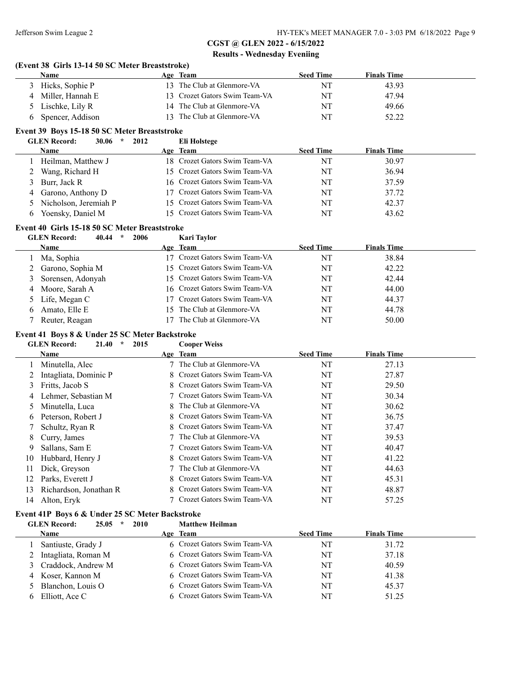$\frac{1}{2}$ 

# **CGST @ GLEN 2022 - 6/15/2022 Results - Wednesday Eveniing**

#### **(Event 38 Girls 13-14 50 SC Meter Breaststroke)**

| Name               | Age Team                      | <b>Seed Time</b> | <b>Finals Time</b> |
|--------------------|-------------------------------|------------------|--------------------|
| 3 Hicks, Sophie P  | 13 The Club at Glenmore-VA    | NT               | 43.93              |
| 4 Miller, Hannah E | 13 Crozet Gators Swim Team-VA | NT               | 47.94              |
| 5 Lischke, Lily R  | 14 The Club at Glenmore-VA    | NT               | 49.66              |
| Spencer, Addison   | 13 The Club at Glenmore-VA    | NT               | 52.22              |

# **Event 39 Boys 15-18 50 SC Meter Breaststroke**

| <b>GLEN Record:</b><br>30.06<br>$\star$ | 2012<br>Eli Holstege          |                  |                    |  |
|-----------------------------------------|-------------------------------|------------------|--------------------|--|
| Name                                    | Age Team                      | <b>Seed Time</b> | <b>Finals Time</b> |  |
| Heilman, Matthew J                      | 18 Crozet Gators Swim Team-VA | NT               | 30.97              |  |
| 2 Wang, Richard H                       | 15 Crozet Gators Swim Team-VA | NT               | 36.94              |  |
| 3 Burr, Jack R                          | 16 Crozet Gators Swim Team-VA | NT               | 37.59              |  |
| 4 Garono, Anthony D                     | 17 Crozet Gators Swim Team-VA | NT               | 37.72              |  |
| 5 Nicholson, Jeremiah P                 | 15 Crozet Gators Swim Team-VA | NT               | 42.37              |  |
| Yoensky, Daniel M                       | 15 Crozet Gators Swim Team-VA | NT               | 43.62              |  |

# **Event 40 Girls 15-18 50 SC Meter Breaststroke**

|   | <b>GLEN Record:</b><br>40.44<br>2006<br>$\star$ | <b>Kari Taylor</b>            |                  |                    |
|---|-------------------------------------------------|-------------------------------|------------------|--------------------|
|   | Name                                            | Age Team                      | <b>Seed Time</b> | <b>Finals Time</b> |
|   | Ma, Sophia                                      | 17 Crozet Gators Swim Team-VA | NT               | 38.84              |
|   | Garono, Sophia M                                | 15 Crozet Gators Swim Team-VA | NT               | 42.22              |
| 3 | Sorensen, Adonyah                               | 15 Crozet Gators Swim Team-VA | NT               | 42.44              |
| 4 | Moore, Sarah A                                  | 16 Crozet Gators Swim Team-VA | NT               | 44.00              |
|   | 5 Life, Megan C                                 | 17 Crozet Gators Swim Team-VA | NT               | 44.37              |
| 6 | Amato, Elle E                                   | 15 The Club at Glenmore-VA    | NT               | 44.78              |
|   | Reuter, Reagan                                  | The Club at Glenmore-VA       | NT               | 50.00              |

#### **Event 41 Boys 8 & Under 25 SC Meter Backstroke**

|    | 2015<br><b>GLEN</b> Record:<br>21.40<br>$\star$ | <b>Cooper Weiss</b>          |                  |                    |  |
|----|-------------------------------------------------|------------------------------|------------------|--------------------|--|
|    | Name                                            | Age Team                     | <b>Seed Time</b> | <b>Finals Time</b> |  |
|    | Minutella, Alec                                 | 7 The Club at Glenmore-VA    | NT               | 27.13              |  |
|    | Intagliata, Dominic P                           | 8 Crozet Gators Swim Team-VA | NT               | 27.87              |  |
|    | Fritts, Jacob S                                 | 8 Crozet Gators Swim Team-VA | NT               | 29.50              |  |
| 4  | Lehmer, Sebastian M                             | 7 Crozet Gators Swim Team-VA | NT               | 30.34              |  |
| 5  | Minutella, Luca                                 | 8 The Club at Glenmore-VA    | NT               | 30.62              |  |
| 6  | Peterson, Robert J                              | 8 Crozet Gators Swim Team-VA | NT               | 36.75              |  |
|    | Schultz, Ryan R                                 | 8 Crozet Gators Swim Team-VA | NT               | 37.47              |  |
| 8. | Curry, James                                    | 7 The Club at Glenmore-VA    | NT               | 39.53              |  |
| 9  | Sallans, Sam E                                  | 7 Crozet Gators Swim Team-VA | NT               | 40.47              |  |
| 10 | Hubbard, Henry J                                | 8 Crozet Gators Swim Team-VA | NT               | 41.22              |  |
| 11 | Dick, Greyson                                   | 7 The Club at Glenmore-VA    | NT               | 44.63              |  |
| 12 | Parks, Everett J                                | 8 Crozet Gators Swim Team-VA | NT               | 45.31              |  |
| 13 | Richardson, Jonathan R                          | 8 Crozet Gators Swim Team-VA | NT               | 48.87              |  |
| 14 | Alton, Eryk                                     | 7 Crozet Gators Swim Team-VA | NT               | 57.25              |  |

### **Event 41P Boys 6 & Under 25 SC Meter Backstroke**

### **GLEN Record: 25.05 \* 2010 Matthew Heilman Name Age Team Seed Time Finals Time** 1 Santiuste, Grady J 6 Crozet Gators Swim Team-VA NT 31.72 2 Intagliata, Roman M 6 Crozet Gators Swim Team-VA NT 37.18 3 Craddock, Andrew M 6 Crozet Gators Swim Team-VA NT 40.59 4 Koser, Kannon M 6 Crozet Gators Swim Team-VA NT 41.38 5 Blanchon, Louis O 6 Crozet Gators Swim Team-VA NT 45.37 6 Elliott, Ace C 6 Crozet Gators Swim Team-VA NT 51.25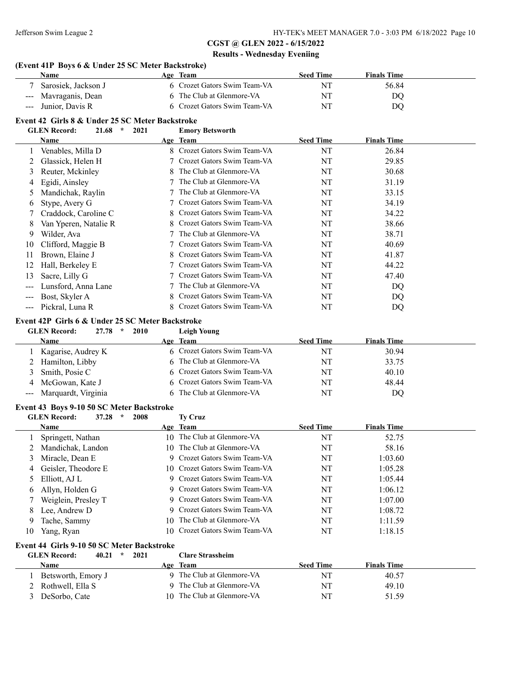| Name                                                                                                                                                                                                                                                                                                                                                                                                                                                                                                                                                                                                                                                                                                                                                                                                                                                                                                                                                                                                                                                                                                                                                                                                                                                                                                                                                                                                                                                                                                                                                                                                                                                                                                                                                                                                                                                                                                                                                                                                                                                                                                                                                                                                                                                                                                                                                                                                                                                                                                                                                                                                                                                                                                                                                                                                                                                                                                                                                                                                     |      | Age Team                   | <b>Seed Time</b> | <b>Finals Time</b> |  |
|----------------------------------------------------------------------------------------------------------------------------------------------------------------------------------------------------------------------------------------------------------------------------------------------------------------------------------------------------------------------------------------------------------------------------------------------------------------------------------------------------------------------------------------------------------------------------------------------------------------------------------------------------------------------------------------------------------------------------------------------------------------------------------------------------------------------------------------------------------------------------------------------------------------------------------------------------------------------------------------------------------------------------------------------------------------------------------------------------------------------------------------------------------------------------------------------------------------------------------------------------------------------------------------------------------------------------------------------------------------------------------------------------------------------------------------------------------------------------------------------------------------------------------------------------------------------------------------------------------------------------------------------------------------------------------------------------------------------------------------------------------------------------------------------------------------------------------------------------------------------------------------------------------------------------------------------------------------------------------------------------------------------------------------------------------------------------------------------------------------------------------------------------------------------------------------------------------------------------------------------------------------------------------------------------------------------------------------------------------------------------------------------------------------------------------------------------------------------------------------------------------------------------------------------------------------------------------------------------------------------------------------------------------------------------------------------------------------------------------------------------------------------------------------------------------------------------------------------------------------------------------------------------------------------------------------------------------------------------------------------------------|------|----------------------------|------------------|--------------------|--|
| Sarosiek, Jackson J                                                                                                                                                                                                                                                                                                                                                                                                                                                                                                                                                                                                                                                                                                                                                                                                                                                                                                                                                                                                                                                                                                                                                                                                                                                                                                                                                                                                                                                                                                                                                                                                                                                                                                                                                                                                                                                                                                                                                                                                                                                                                                                                                                                                                                                                                                                                                                                                                                                                                                                                                                                                                                                                                                                                                                                                                                                                                                                                                                                      |      |                            | NT               | 56.84              |  |
| ---                                                                                                                                                                                                                                                                                                                                                                                                                                                                                                                                                                                                                                                                                                                                                                                                                                                                                                                                                                                                                                                                                                                                                                                                                                                                                                                                                                                                                                                                                                                                                                                                                                                                                                                                                                                                                                                                                                                                                                                                                                                                                                                                                                                                                                                                                                                                                                                                                                                                                                                                                                                                                                                                                                                                                                                                                                                                                                                                                                                                      |      |                            | NT               |                    |  |
| Junior, Davis R<br>---                                                                                                                                                                                                                                                                                                                                                                                                                                                                                                                                                                                                                                                                                                                                                                                                                                                                                                                                                                                                                                                                                                                                                                                                                                                                                                                                                                                                                                                                                                                                                                                                                                                                                                                                                                                                                                                                                                                                                                                                                                                                                                                                                                                                                                                                                                                                                                                                                                                                                                                                                                                                                                                                                                                                                                                                                                                                                                                                                                                   |      |                            | NT               | DQ                 |  |
|                                                                                                                                                                                                                                                                                                                                                                                                                                                                                                                                                                                                                                                                                                                                                                                                                                                                                                                                                                                                                                                                                                                                                                                                                                                                                                                                                                                                                                                                                                                                                                                                                                                                                                                                                                                                                                                                                                                                                                                                                                                                                                                                                                                                                                                                                                                                                                                                                                                                                                                                                                                                                                                                                                                                                                                                                                                                                                                                                                                                          |      |                            |                  |                    |  |
|                                                                                                                                                                                                                                                                                                                                                                                                                                                                                                                                                                                                                                                                                                                                                                                                                                                                                                                                                                                                                                                                                                                                                                                                                                                                                                                                                                                                                                                                                                                                                                                                                                                                                                                                                                                                                                                                                                                                                                                                                                                                                                                                                                                                                                                                                                                                                                                                                                                                                                                                                                                                                                                                                                                                                                                                                                                                                                                                                                                                          |      |                            |                  |                    |  |
|                                                                                                                                                                                                                                                                                                                                                                                                                                                                                                                                                                                                                                                                                                                                                                                                                                                                                                                                                                                                                                                                                                                                                                                                                                                                                                                                                                                                                                                                                                                                                                                                                                                                                                                                                                                                                                                                                                                                                                                                                                                                                                                                                                                                                                                                                                                                                                                                                                                                                                                                                                                                                                                                                                                                                                                                                                                                                                                                                                                                          |      |                            |                  |                    |  |
|                                                                                                                                                                                                                                                                                                                                                                                                                                                                                                                                                                                                                                                                                                                                                                                                                                                                                                                                                                                                                                                                                                                                                                                                                                                                                                                                                                                                                                                                                                                                                                                                                                                                                                                                                                                                                                                                                                                                                                                                                                                                                                                                                                                                                                                                                                                                                                                                                                                                                                                                                                                                                                                                                                                                                                                                                                                                                                                                                                                                          |      |                            |                  |                    |  |
|                                                                                                                                                                                                                                                                                                                                                                                                                                                                                                                                                                                                                                                                                                                                                                                                                                                                                                                                                                                                                                                                                                                                                                                                                                                                                                                                                                                                                                                                                                                                                                                                                                                                                                                                                                                                                                                                                                                                                                                                                                                                                                                                                                                                                                                                                                                                                                                                                                                                                                                                                                                                                                                                                                                                                                                                                                                                                                                                                                                                          |      |                            |                  |                    |  |
|                                                                                                                                                                                                                                                                                                                                                                                                                                                                                                                                                                                                                                                                                                                                                                                                                                                                                                                                                                                                                                                                                                                                                                                                                                                                                                                                                                                                                                                                                                                                                                                                                                                                                                                                                                                                                                                                                                                                                                                                                                                                                                                                                                                                                                                                                                                                                                                                                                                                                                                                                                                                                                                                                                                                                                                                                                                                                                                                                                                                          |      |                            |                  |                    |  |
|                                                                                                                                                                                                                                                                                                                                                                                                                                                                                                                                                                                                                                                                                                                                                                                                                                                                                                                                                                                                                                                                                                                                                                                                                                                                                                                                                                                                                                                                                                                                                                                                                                                                                                                                                                                                                                                                                                                                                                                                                                                                                                                                                                                                                                                                                                                                                                                                                                                                                                                                                                                                                                                                                                                                                                                                                                                                                                                                                                                                          |      |                            |                  |                    |  |
|                                                                                                                                                                                                                                                                                                                                                                                                                                                                                                                                                                                                                                                                                                                                                                                                                                                                                                                                                                                                                                                                                                                                                                                                                                                                                                                                                                                                                                                                                                                                                                                                                                                                                                                                                                                                                                                                                                                                                                                                                                                                                                                                                                                                                                                                                                                                                                                                                                                                                                                                                                                                                                                                                                                                                                                                                                                                                                                                                                                                          |      |                            |                  |                    |  |
|                                                                                                                                                                                                                                                                                                                                                                                                                                                                                                                                                                                                                                                                                                                                                                                                                                                                                                                                                                                                                                                                                                                                                                                                                                                                                                                                                                                                                                                                                                                                                                                                                                                                                                                                                                                                                                                                                                                                                                                                                                                                                                                                                                                                                                                                                                                                                                                                                                                                                                                                                                                                                                                                                                                                                                                                                                                                                                                                                                                                          |      |                            |                  |                    |  |
|                                                                                                                                                                                                                                                                                                                                                                                                                                                                                                                                                                                                                                                                                                                                                                                                                                                                                                                                                                                                                                                                                                                                                                                                                                                                                                                                                                                                                                                                                                                                                                                                                                                                                                                                                                                                                                                                                                                                                                                                                                                                                                                                                                                                                                                                                                                                                                                                                                                                                                                                                                                                                                                                                                                                                                                                                                                                                                                                                                                                          |      |                            |                  |                    |  |
|                                                                                                                                                                                                                                                                                                                                                                                                                                                                                                                                                                                                                                                                                                                                                                                                                                                                                                                                                                                                                                                                                                                                                                                                                                                                                                                                                                                                                                                                                                                                                                                                                                                                                                                                                                                                                                                                                                                                                                                                                                                                                                                                                                                                                                                                                                                                                                                                                                                                                                                                                                                                                                                                                                                                                                                                                                                                                                                                                                                                          |      |                            |                  |                    |  |
|                                                                                                                                                                                                                                                                                                                                                                                                                                                                                                                                                                                                                                                                                                                                                                                                                                                                                                                                                                                                                                                                                                                                                                                                                                                                                                                                                                                                                                                                                                                                                                                                                                                                                                                                                                                                                                                                                                                                                                                                                                                                                                                                                                                                                                                                                                                                                                                                                                                                                                                                                                                                                                                                                                                                                                                                                                                                                                                                                                                                          |      |                            |                  |                    |  |
|                                                                                                                                                                                                                                                                                                                                                                                                                                                                                                                                                                                                                                                                                                                                                                                                                                                                                                                                                                                                                                                                                                                                                                                                                                                                                                                                                                                                                                                                                                                                                                                                                                                                                                                                                                                                                                                                                                                                                                                                                                                                                                                                                                                                                                                                                                                                                                                                                                                                                                                                                                                                                                                                                                                                                                                                                                                                                                                                                                                                          |      |                            |                  |                    |  |
|                                                                                                                                                                                                                                                                                                                                                                                                                                                                                                                                                                                                                                                                                                                                                                                                                                                                                                                                                                                                                                                                                                                                                                                                                                                                                                                                                                                                                                                                                                                                                                                                                                                                                                                                                                                                                                                                                                                                                                                                                                                                                                                                                                                                                                                                                                                                                                                                                                                                                                                                                                                                                                                                                                                                                                                                                                                                                                                                                                                                          |      |                            |                  |                    |  |
|                                                                                                                                                                                                                                                                                                                                                                                                                                                                                                                                                                                                                                                                                                                                                                                                                                                                                                                                                                                                                                                                                                                                                                                                                                                                                                                                                                                                                                                                                                                                                                                                                                                                                                                                                                                                                                                                                                                                                                                                                                                                                                                                                                                                                                                                                                                                                                                                                                                                                                                                                                                                                                                                                                                                                                                                                                                                                                                                                                                                          |      |                            |                  |                    |  |
|                                                                                                                                                                                                                                                                                                                                                                                                                                                                                                                                                                                                                                                                                                                                                                                                                                                                                                                                                                                                                                                                                                                                                                                                                                                                                                                                                                                                                                                                                                                                                                                                                                                                                                                                                                                                                                                                                                                                                                                                                                                                                                                                                                                                                                                                                                                                                                                                                                                                                                                                                                                                                                                                                                                                                                                                                                                                                                                                                                                                          |      |                            |                  |                    |  |
|                                                                                                                                                                                                                                                                                                                                                                                                                                                                                                                                                                                                                                                                                                                                                                                                                                                                                                                                                                                                                                                                                                                                                                                                                                                                                                                                                                                                                                                                                                                                                                                                                                                                                                                                                                                                                                                                                                                                                                                                                                                                                                                                                                                                                                                                                                                                                                                                                                                                                                                                                                                                                                                                                                                                                                                                                                                                                                                                                                                                          |      |                            |                  |                    |  |
|                                                                                                                                                                                                                                                                                                                                                                                                                                                                                                                                                                                                                                                                                                                                                                                                                                                                                                                                                                                                                                                                                                                                                                                                                                                                                                                                                                                                                                                                                                                                                                                                                                                                                                                                                                                                                                                                                                                                                                                                                                                                                                                                                                                                                                                                                                                                                                                                                                                                                                                                                                                                                                                                                                                                                                                                                                                                                                                                                                                                          |      |                            |                  |                    |  |
|                                                                                                                                                                                                                                                                                                                                                                                                                                                                                                                                                                                                                                                                                                                                                                                                                                                                                                                                                                                                                                                                                                                                                                                                                                                                                                                                                                                                                                                                                                                                                                                                                                                                                                                                                                                                                                                                                                                                                                                                                                                                                                                                                                                                                                                                                                                                                                                                                                                                                                                                                                                                                                                                                                                                                                                                                                                                                                                                                                                                          |      |                            |                  |                    |  |
|                                                                                                                                                                                                                                                                                                                                                                                                                                                                                                                                                                                                                                                                                                                                                                                                                                                                                                                                                                                                                                                                                                                                                                                                                                                                                                                                                                                                                                                                                                                                                                                                                                                                                                                                                                                                                                                                                                                                                                                                                                                                                                                                                                                                                                                                                                                                                                                                                                                                                                                                                                                                                                                                                                                                                                                                                                                                                                                                                                                                          |      |                            |                  |                    |  |
|                                                                                                                                                                                                                                                                                                                                                                                                                                                                                                                                                                                                                                                                                                                                                                                                                                                                                                                                                                                                                                                                                                                                                                                                                                                                                                                                                                                                                                                                                                                                                                                                                                                                                                                                                                                                                                                                                                                                                                                                                                                                                                                                                                                                                                                                                                                                                                                                                                                                                                                                                                                                                                                                                                                                                                                                                                                                                                                                                                                                          |      |                            |                  |                    |  |
| $27.78$ *<br><b>GLEN</b> Record:                                                                                                                                                                                                                                                                                                                                                                                                                                                                                                                                                                                                                                                                                                                                                                                                                                                                                                                                                                                                                                                                                                                                                                                                                                                                                                                                                                                                                                                                                                                                                                                                                                                                                                                                                                                                                                                                                                                                                                                                                                                                                                                                                                                                                                                                                                                                                                                                                                                                                                                                                                                                                                                                                                                                                                                                                                                                                                                                                                         | 2010 | <b>Leigh Young</b>         |                  |                    |  |
| Name                                                                                                                                                                                                                                                                                                                                                                                                                                                                                                                                                                                                                                                                                                                                                                                                                                                                                                                                                                                                                                                                                                                                                                                                                                                                                                                                                                                                                                                                                                                                                                                                                                                                                                                                                                                                                                                                                                                                                                                                                                                                                                                                                                                                                                                                                                                                                                                                                                                                                                                                                                                                                                                                                                                                                                                                                                                                                                                                                                                                     |      |                            | <b>Seed Time</b> | <b>Finals Time</b> |  |
| Kagarise, Audrey K                                                                                                                                                                                                                                                                                                                                                                                                                                                                                                                                                                                                                                                                                                                                                                                                                                                                                                                                                                                                                                                                                                                                                                                                                                                                                                                                                                                                                                                                                                                                                                                                                                                                                                                                                                                                                                                                                                                                                                                                                                                                                                                                                                                                                                                                                                                                                                                                                                                                                                                                                                                                                                                                                                                                                                                                                                                                                                                                                                                       |      |                            | NT               | 30.94              |  |
| Hamilton, Libby<br>2                                                                                                                                                                                                                                                                                                                                                                                                                                                                                                                                                                                                                                                                                                                                                                                                                                                                                                                                                                                                                                                                                                                                                                                                                                                                                                                                                                                                                                                                                                                                                                                                                                                                                                                                                                                                                                                                                                                                                                                                                                                                                                                                                                                                                                                                                                                                                                                                                                                                                                                                                                                                                                                                                                                                                                                                                                                                                                                                                                                     |      |                            | NT               | 33.75              |  |
| 3<br>Smith, Posie C                                                                                                                                                                                                                                                                                                                                                                                                                                                                                                                                                                                                                                                                                                                                                                                                                                                                                                                                                                                                                                                                                                                                                                                                                                                                                                                                                                                                                                                                                                                                                                                                                                                                                                                                                                                                                                                                                                                                                                                                                                                                                                                                                                                                                                                                                                                                                                                                                                                                                                                                                                                                                                                                                                                                                                                                                                                                                                                                                                                      |      | Crozet Gators Swim Team-VA | NT               | 40.10              |  |
| McGowan, Kate J<br>4                                                                                                                                                                                                                                                                                                                                                                                                                                                                                                                                                                                                                                                                                                                                                                                                                                                                                                                                                                                                                                                                                                                                                                                                                                                                                                                                                                                                                                                                                                                                                                                                                                                                                                                                                                                                                                                                                                                                                                                                                                                                                                                                                                                                                                                                                                                                                                                                                                                                                                                                                                                                                                                                                                                                                                                                                                                                                                                                                                                     |      | Crozet Gators Swim Team-VA | NT               | 48.44              |  |
| Marquardt, Virginia<br>$\qquad \qquad -$                                                                                                                                                                                                                                                                                                                                                                                                                                                                                                                                                                                                                                                                                                                                                                                                                                                                                                                                                                                                                                                                                                                                                                                                                                                                                                                                                                                                                                                                                                                                                                                                                                                                                                                                                                                                                                                                                                                                                                                                                                                                                                                                                                                                                                                                                                                                                                                                                                                                                                                                                                                                                                                                                                                                                                                                                                                                                                                                                                 |      |                            | NT               | DQ                 |  |
| 6 Crozet Gators Swim Team-VA<br>The Club at Glenmore-VA<br>Mavraganis, Dean<br>DQ<br>6 Crozet Gators Swim Team-VA<br>Event 42 Girls 8 & Under 25 SC Meter Backstroke<br>$\mathcal{R}$<br><b>GLEN</b> Record:<br>21.68<br>2021<br><b>Emory Betsworth</b><br><b>Seed Time</b><br><b>Finals Time</b><br>Name<br>Age Team<br>8 Crozet Gators Swim Team-VA<br>NT<br>26.84<br>Venables, Milla D<br>1<br>7 Crozet Gators Swim Team-VA<br>NT<br>Glassick, Helen H<br>29.85<br>2<br>The Club at Glenmore-VA<br>Reuter, Mckinley<br>NT<br>30.68<br>3<br>The Club at Glenmore-VA<br>Egidi, Ainsley<br>NT<br>31.19<br>4<br>The Club at Glenmore-VA<br>Mandichak, Raylin<br>NT<br>33.15<br>5<br>Crozet Gators Swim Team-VA<br>34.19<br>Stype, Avery G<br>NT<br>6<br>Crozet Gators Swim Team-VA<br>34.22<br>Craddock, Caroline C<br>NT<br>7<br>Crozet Gators Swim Team-VA<br>38.66<br>8<br>Van Yperen, Natalie R<br>NT<br>The Club at Glenmore-VA<br>38.71<br>9<br>Wilder, Ava<br>NT<br>Crozet Gators Swim Team-VA<br>Clifford, Maggie B<br>NT<br>40.69<br>10<br>Crozet Gators Swim Team-VA<br>Brown, Elaine J<br>NT<br>41.87<br>11<br>Crozet Gators Swim Team-VA<br>Hall, Berkeley E<br>NT<br>44.22<br>12<br>Crozet Gators Swim Team-VA<br>Sacre, Lilly G<br>NT<br>47.40<br>13<br>The Club at Glenmore-VA<br>Lunsford, Anna Lane<br>NT<br>DQ<br>---<br>Crozet Gators Swim Team-VA<br>Bost, Skyler A<br>NT<br>DQ<br>---<br>8 Crozet Gators Swim Team-VA<br>Pickral, Luna R<br>NT<br>DQ<br>---<br>Event 42P Girls 6 & Under 25 SC Meter Backstroke<br>Age Team<br>6 Crozet Gators Swim Team-VA<br>The Club at Glenmore-VA<br>The Club at Glenmore-VA<br>Event 43 Boys 9-10 50 SC Meter Backstroke<br>$\star$<br><b>GLEN</b> Record:<br>37.28<br>2008<br><b>Ty Cruz</b><br>Age Team<br><b>Seed Time</b><br><b>Finals Time</b><br>Name<br>10 The Club at Glenmore-VA<br>NT<br>52.75<br>1 Springett, Nathan<br>10 The Club at Glenmore-VA<br>Mandichak, Landon<br>NT<br>58.16<br>2<br>Crozet Gators Swim Team-VA<br>Miracle, Dean E<br>NT<br>1:03.60<br>3<br>9<br>Geisler, Theodore E<br>Crozet Gators Swim Team-VA<br>NT<br>1:05.28<br>10<br>4<br>Crozet Gators Swim Team-VA<br>Elliott, AJ L<br>NT<br>1:05.44<br>5<br>9<br>Allyn, Holden G<br>Crozet Gators Swim Team-VA<br>NT<br>1:06.12<br>6<br>9<br>Crozet Gators Swim Team-VA<br>Weiglein, Presley T<br>NT<br>1:07.00<br>7<br>Crozet Gators Swim Team-VA<br>Lee, Andrew D<br>NT<br>1:08.72<br>8<br>The Club at Glenmore-VA<br>Tache, Sammy<br>NT<br>1:11.59<br>9<br>10<br>Crozet Gators Swim Team-VA<br>NT<br>1:18.15<br>Yang, Ryan<br>10<br>10<br>Event 44 Girls 9-10 50 SC Meter Backstroke<br>$\star$<br><b>GLEN Record:</b><br>40.21<br>2021<br><b>Clare Strassheim</b><br><b>Seed Time</b><br><b>Finals Time</b><br><b>Name</b><br>Age Team<br>9 The Club at Glenmore-VA<br>$\rm{NT}$<br>Betsworth, Emory J<br>40.57<br>1<br>The Club at Glenmore-VA<br>Rothwell, Ella S<br>NT<br>49.10<br>2<br>10 The Club at Glenmore-VA<br>DeSorbo, Cate<br>NT<br>3<br>51.59 |      |                            |                  |                    |  |
|                                                                                                                                                                                                                                                                                                                                                                                                                                                                                                                                                                                                                                                                                                                                                                                                                                                                                                                                                                                                                                                                                                                                                                                                                                                                                                                                                                                                                                                                                                                                                                                                                                                                                                                                                                                                                                                                                                                                                                                                                                                                                                                                                                                                                                                                                                                                                                                                                                                                                                                                                                                                                                                                                                                                                                                                                                                                                                                                                                                                          |      |                            |                  |                    |  |
|                                                                                                                                                                                                                                                                                                                                                                                                                                                                                                                                                                                                                                                                                                                                                                                                                                                                                                                                                                                                                                                                                                                                                                                                                                                                                                                                                                                                                                                                                                                                                                                                                                                                                                                                                                                                                                                                                                                                                                                                                                                                                                                                                                                                                                                                                                                                                                                                                                                                                                                                                                                                                                                                                                                                                                                                                                                                                                                                                                                                          |      |                            |                  |                    |  |
|                                                                                                                                                                                                                                                                                                                                                                                                                                                                                                                                                                                                                                                                                                                                                                                                                                                                                                                                                                                                                                                                                                                                                                                                                                                                                                                                                                                                                                                                                                                                                                                                                                                                                                                                                                                                                                                                                                                                                                                                                                                                                                                                                                                                                                                                                                                                                                                                                                                                                                                                                                                                                                                                                                                                                                                                                                                                                                                                                                                                          |      |                            |                  |                    |  |
|                                                                                                                                                                                                                                                                                                                                                                                                                                                                                                                                                                                                                                                                                                                                                                                                                                                                                                                                                                                                                                                                                                                                                                                                                                                                                                                                                                                                                                                                                                                                                                                                                                                                                                                                                                                                                                                                                                                                                                                                                                                                                                                                                                                                                                                                                                                                                                                                                                                                                                                                                                                                                                                                                                                                                                                                                                                                                                                                                                                                          |      |                            |                  |                    |  |
|                                                                                                                                                                                                                                                                                                                                                                                                                                                                                                                                                                                                                                                                                                                                                                                                                                                                                                                                                                                                                                                                                                                                                                                                                                                                                                                                                                                                                                                                                                                                                                                                                                                                                                                                                                                                                                                                                                                                                                                                                                                                                                                                                                                                                                                                                                                                                                                                                                                                                                                                                                                                                                                                                                                                                                                                                                                                                                                                                                                                          |      |                            |                  |                    |  |
|                                                                                                                                                                                                                                                                                                                                                                                                                                                                                                                                                                                                                                                                                                                                                                                                                                                                                                                                                                                                                                                                                                                                                                                                                                                                                                                                                                                                                                                                                                                                                                                                                                                                                                                                                                                                                                                                                                                                                                                                                                                                                                                                                                                                                                                                                                                                                                                                                                                                                                                                                                                                                                                                                                                                                                                                                                                                                                                                                                                                          |      |                            |                  |                    |  |
|                                                                                                                                                                                                                                                                                                                                                                                                                                                                                                                                                                                                                                                                                                                                                                                                                                                                                                                                                                                                                                                                                                                                                                                                                                                                                                                                                                                                                                                                                                                                                                                                                                                                                                                                                                                                                                                                                                                                                                                                                                                                                                                                                                                                                                                                                                                                                                                                                                                                                                                                                                                                                                                                                                                                                                                                                                                                                                                                                                                                          |      |                            |                  |                    |  |
|                                                                                                                                                                                                                                                                                                                                                                                                                                                                                                                                                                                                                                                                                                                                                                                                                                                                                                                                                                                                                                                                                                                                                                                                                                                                                                                                                                                                                                                                                                                                                                                                                                                                                                                                                                                                                                                                                                                                                                                                                                                                                                                                                                                                                                                                                                                                                                                                                                                                                                                                                                                                                                                                                                                                                                                                                                                                                                                                                                                                          |      |                            |                  |                    |  |
|                                                                                                                                                                                                                                                                                                                                                                                                                                                                                                                                                                                                                                                                                                                                                                                                                                                                                                                                                                                                                                                                                                                                                                                                                                                                                                                                                                                                                                                                                                                                                                                                                                                                                                                                                                                                                                                                                                                                                                                                                                                                                                                                                                                                                                                                                                                                                                                                                                                                                                                                                                                                                                                                                                                                                                                                                                                                                                                                                                                                          |      |                            |                  |                    |  |
|                                                                                                                                                                                                                                                                                                                                                                                                                                                                                                                                                                                                                                                                                                                                                                                                                                                                                                                                                                                                                                                                                                                                                                                                                                                                                                                                                                                                                                                                                                                                                                                                                                                                                                                                                                                                                                                                                                                                                                                                                                                                                                                                                                                                                                                                                                                                                                                                                                                                                                                                                                                                                                                                                                                                                                                                                                                                                                                                                                                                          |      |                            |                  |                    |  |
|                                                                                                                                                                                                                                                                                                                                                                                                                                                                                                                                                                                                                                                                                                                                                                                                                                                                                                                                                                                                                                                                                                                                                                                                                                                                                                                                                                                                                                                                                                                                                                                                                                                                                                                                                                                                                                                                                                                                                                                                                                                                                                                                                                                                                                                                                                                                                                                                                                                                                                                                                                                                                                                                                                                                                                                                                                                                                                                                                                                                          |      |                            |                  |                    |  |
|                                                                                                                                                                                                                                                                                                                                                                                                                                                                                                                                                                                                                                                                                                                                                                                                                                                                                                                                                                                                                                                                                                                                                                                                                                                                                                                                                                                                                                                                                                                                                                                                                                                                                                                                                                                                                                                                                                                                                                                                                                                                                                                                                                                                                                                                                                                                                                                                                                                                                                                                                                                                                                                                                                                                                                                                                                                                                                                                                                                                          |      |                            |                  |                    |  |
|                                                                                                                                                                                                                                                                                                                                                                                                                                                                                                                                                                                                                                                                                                                                                                                                                                                                                                                                                                                                                                                                                                                                                                                                                                                                                                                                                                                                                                                                                                                                                                                                                                                                                                                                                                                                                                                                                                                                                                                                                                                                                                                                                                                                                                                                                                                                                                                                                                                                                                                                                                                                                                                                                                                                                                                                                                                                                                                                                                                                          |      |                            |                  |                    |  |
|                                                                                                                                                                                                                                                                                                                                                                                                                                                                                                                                                                                                                                                                                                                                                                                                                                                                                                                                                                                                                                                                                                                                                                                                                                                                                                                                                                                                                                                                                                                                                                                                                                                                                                                                                                                                                                                                                                                                                                                                                                                                                                                                                                                                                                                                                                                                                                                                                                                                                                                                                                                                                                                                                                                                                                                                                                                                                                                                                                                                          |      |                            |                  |                    |  |
|                                                                                                                                                                                                                                                                                                                                                                                                                                                                                                                                                                                                                                                                                                                                                                                                                                                                                                                                                                                                                                                                                                                                                                                                                                                                                                                                                                                                                                                                                                                                                                                                                                                                                                                                                                                                                                                                                                                                                                                                                                                                                                                                                                                                                                                                                                                                                                                                                                                                                                                                                                                                                                                                                                                                                                                                                                                                                                                                                                                                          |      |                            |                  |                    |  |
|                                                                                                                                                                                                                                                                                                                                                                                                                                                                                                                                                                                                                                                                                                                                                                                                                                                                                                                                                                                                                                                                                                                                                                                                                                                                                                                                                                                                                                                                                                                                                                                                                                                                                                                                                                                                                                                                                                                                                                                                                                                                                                                                                                                                                                                                                                                                                                                                                                                                                                                                                                                                                                                                                                                                                                                                                                                                                                                                                                                                          |      |                            |                  |                    |  |
|                                                                                                                                                                                                                                                                                                                                                                                                                                                                                                                                                                                                                                                                                                                                                                                                                                                                                                                                                                                                                                                                                                                                                                                                                                                                                                                                                                                                                                                                                                                                                                                                                                                                                                                                                                                                                                                                                                                                                                                                                                                                                                                                                                                                                                                                                                                                                                                                                                                                                                                                                                                                                                                                                                                                                                                                                                                                                                                                                                                                          |      |                            |                  |                    |  |
|                                                                                                                                                                                                                                                                                                                                                                                                                                                                                                                                                                                                                                                                                                                                                                                                                                                                                                                                                                                                                                                                                                                                                                                                                                                                                                                                                                                                                                                                                                                                                                                                                                                                                                                                                                                                                                                                                                                                                                                                                                                                                                                                                                                                                                                                                                                                                                                                                                                                                                                                                                                                                                                                                                                                                                                                                                                                                                                                                                                                          |      |                            |                  |                    |  |
|                                                                                                                                                                                                                                                                                                                                                                                                                                                                                                                                                                                                                                                                                                                                                                                                                                                                                                                                                                                                                                                                                                                                                                                                                                                                                                                                                                                                                                                                                                                                                                                                                                                                                                                                                                                                                                                                                                                                                                                                                                                                                                                                                                                                                                                                                                                                                                                                                                                                                                                                                                                                                                                                                                                                                                                                                                                                                                                                                                                                          |      |                            |                  |                    |  |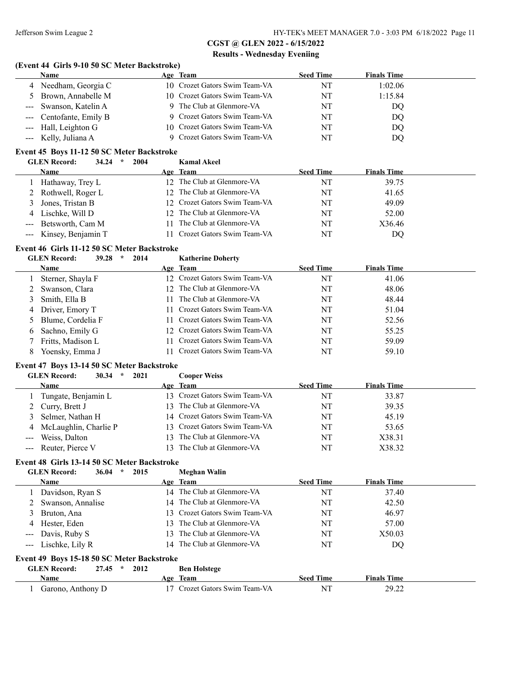#### **(Event 44 Girls 9-10 50 SC Meter Backstroke)**

| Name                    | Age Team                      | <b>Seed Time</b> | <b>Finals Time</b> |  |
|-------------------------|-------------------------------|------------------|--------------------|--|
| 4 Needham, Georgia C    | 10 Crozet Gators Swim Team-VA | NT               | 1:02.06            |  |
| 5 Brown, Annabelle M    | 10 Crozet Gators Swim Team-VA | NT               | 1:15.84            |  |
| --- Swanson, Katelin A  | 9 The Club at Glenmore-VA     | NT               | DQ                 |  |
| --- Centofante, Emily B | 9 Crozet Gators Swim Team-VA  | NT               | DQ                 |  |
| --- Hall, Leighton G    | 10 Crozet Gators Swim Team-VA | NT               | DQ                 |  |
| --- Kelly, Juliana A    | 9 Crozet Gators Swim Team-VA  | NT               | DQ                 |  |

#### **Event 45 Boys 11-12 50 SC Meter Backstroke**

|   | <b>GLEN</b> Record:<br>34.24<br>2004<br>$\star$ |     | <b>Kamal Akeel</b>            |                  |                    |
|---|-------------------------------------------------|-----|-------------------------------|------------------|--------------------|
|   | <b>Name</b>                                     |     | Age Team                      | <b>Seed Time</b> | <b>Finals Time</b> |
|   | Hathaway, Trey L                                |     | 12 The Club at Glenmore-VA    | NT               | 39.75              |
|   | 2 Rothwell, Roger L                             |     | 12 The Club at Glenmore-VA    | NT               | 41.65              |
| 3 | Jones, Tristan B                                |     | 12 Crozet Gators Swim Team-VA | NT               | 49.09              |
|   | 4 Lischke, Will D                               |     | 12 The Club at Glenmore-VA    | NT               | 52.00              |
|   | --- Betsworth, Cam M                            | 11. | The Club at Glenmore-VA       | NT               | X36.46             |
|   | --- Kinsey, Benjamin T                          |     | 11 Crozet Gators Swim Team-VA | NT               | DO                 |

#### **Event 46 Girls 11-12 50 SC Meter Backstroke**

|   | <b>GLEN</b> Record:<br>39.28<br>2014<br>$\ast$ | <b>Katherine Doherty</b>      |                  |                    |
|---|------------------------------------------------|-------------------------------|------------------|--------------------|
|   | Name                                           | Age Team                      | <b>Seed Time</b> | <b>Finals Time</b> |
|   | Sterner, Shayla F                              | 12 Crozet Gators Swim Team-VA | NT               | 41.06              |
|   | Swanson, Clara                                 | 12 The Club at Glenmore-VA    | NT               | 48.06              |
|   | Smith, Ella B                                  | The Club at Glenmore-VA       | NT               | 48.44              |
| 4 | Driver, Emory T                                | 11 Crozet Gators Swim Team-VA | NT               | 51.04              |
|   | Blume, Cordelia F                              | 11 Crozet Gators Swim Team-VA | NT               | 52.56              |
| 6 | Sachno, Emily G                                | 12 Crozet Gators Swim Team-VA | NT               | 55.25              |
|   | Fritts, Madison L                              | 11 Crozet Gators Swim Team-VA | NT               | 59.09              |
| 8 | Yoensky, Emma J                                | Crozet Gators Swim Team-VA    | NT               | 59.10              |

## **Event 47 Boys 13-14 50 SC Meter Backstroke**

#### **GLEN Record: 30.34 \* 2021 Cooper Weiss**

|                                                                                                                                                                                                                                                                                                                                                                                                                                                                            | <b>Name</b>             | Age Team                      | <b>Seed Time</b> | <b>Finals Time</b> |
|----------------------------------------------------------------------------------------------------------------------------------------------------------------------------------------------------------------------------------------------------------------------------------------------------------------------------------------------------------------------------------------------------------------------------------------------------------------------------|-------------------------|-------------------------------|------------------|--------------------|
|                                                                                                                                                                                                                                                                                                                                                                                                                                                                            | Tungate, Benjamin L     | 13 Crozet Gators Swim Team-VA | NT               | 33.87              |
|                                                                                                                                                                                                                                                                                                                                                                                                                                                                            | 2 Curry, Brett J        | 13 The Club at Glenmore-VA    | NT               | 39.35              |
|                                                                                                                                                                                                                                                                                                                                                                                                                                                                            | 3 Selmer, Nathan H      | 14 Crozet Gators Swim Team-VA | NT               | 45.19              |
|                                                                                                                                                                                                                                                                                                                                                                                                                                                                            | 4 McLaughlin, Charlie P | 13 Crozet Gators Swim Team-VA | NT               | 53.65              |
| $\frac{1}{2} \left( \frac{1}{2} \right) \left( \frac{1}{2} \right) \left( \frac{1}{2} \right) \left( \frac{1}{2} \right) \left( \frac{1}{2} \right) \left( \frac{1}{2} \right) \left( \frac{1}{2} \right) \left( \frac{1}{2} \right) \left( \frac{1}{2} \right) \left( \frac{1}{2} \right) \left( \frac{1}{2} \right) \left( \frac{1}{2} \right) \left( \frac{1}{2} \right) \left( \frac{1}{2} \right) \left( \frac{1}{2} \right) \left( \frac{1}{2} \right) \left( \frac$ | Weiss, Dalton           | 13 The Club at Glenmore-VA    | NT               | X38.31             |
|                                                                                                                                                                                                                                                                                                                                                                                                                                                                            | --- Reuter, Pierce V    | 13 The Club at Glenmore-VA    | NT               | X38.32             |

#### **Event 48 Girls 13-14 50 SC Meter Backstroke**

| <b>GLEN</b> Record:<br>36.04<br>2015<br>$\star$ | Meghan Walin                   |                  |                    |  |  |  |  |
|-------------------------------------------------|--------------------------------|------------------|--------------------|--|--|--|--|
| <b>Name</b>                                     | Age Team                       | <b>Seed Time</b> | <b>Finals Time</b> |  |  |  |  |
| 1 Davidson, Ryan S                              | 14 The Club at Glenmore-VA     | NT               | 37.40              |  |  |  |  |
| 2 Swanson, Annalise                             | 14 The Club at Glenmore-VA     | NT               | 42.50              |  |  |  |  |
| 3 Bruton, Ana                                   | 13 Crozet Gators Swim Team-VA  | NT               | 46.97              |  |  |  |  |
| Hester, Eden<br>4                               | 13 The Club at Glenmore-VA     | NT               | 57.00              |  |  |  |  |
| Davis, Ruby S<br>$\frac{1}{2}$                  | The Club at Glenmore-VA<br>13. | NT               | X50.03             |  |  |  |  |
| --- Lischke, Lily R                             | 14 The Club at Glenmore-VA     | NT               | DQ                 |  |  |  |  |
| Event 49 Boys 15-18 50 SC Meter Backstroke      |                                |                  |                    |  |  |  |  |
| <b>GLEN</b> Record:<br>27.45<br>2012<br>$\star$ | <b>Ben Holstege</b>            |                  |                    |  |  |  |  |
| <b>Name</b>                                     | Age Team                       | <b>Seed Time</b> | <b>Finals Time</b> |  |  |  |  |
| Garono, Anthony D                               | Crozet Gators Swim Team-VA     | NT               | 29.22              |  |  |  |  |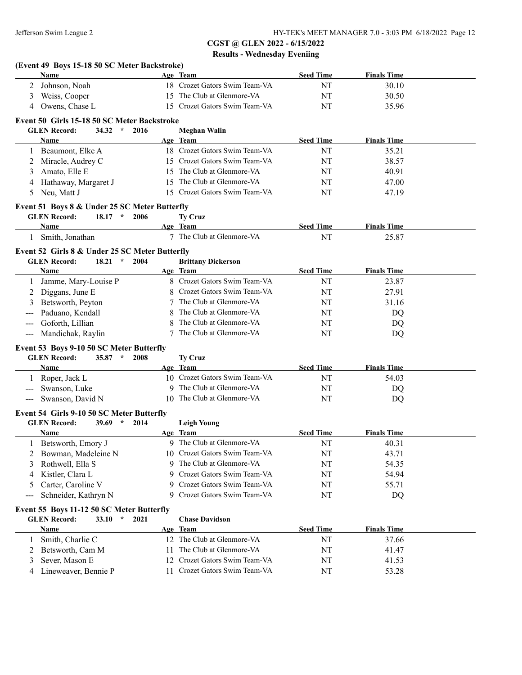|                     | Name                                                               |                  |      |    | Age Team                                                       | <b>Seed Time</b> | <b>Finals Time</b> |  |
|---------------------|--------------------------------------------------------------------|------------------|------|----|----------------------------------------------------------------|------------------|--------------------|--|
| 2                   | Johnson, Noah                                                      |                  |      |    | 18 Crozet Gators Swim Team-VA                                  | NT               | 30.10              |  |
| 3                   | Weiss, Cooper                                                      |                  |      |    | 15 The Club at Glenmore-VA                                     | NT               | 30.50              |  |
| 4                   | Owens, Chase L                                                     |                  |      |    | 15 Crozet Gators Swim Team-VA                                  | NT               | 35.96              |  |
|                     |                                                                    |                  |      |    |                                                                |                  |                    |  |
|                     | Event 50 Girls 15-18 50 SC Meter Backstroke<br><b>GLEN</b> Record: | 34.32 $*$        | 2016 |    |                                                                |                  |                    |  |
|                     | Name                                                               |                  |      |    | <b>Meghan Walin</b><br>Age Team                                | <b>Seed Time</b> | <b>Finals Time</b> |  |
|                     | Beaumont, Elke A                                                   |                  |      |    | 18 Crozet Gators Swim Team-VA                                  | NT               | 35.21              |  |
|                     |                                                                    |                  |      |    | 15 Crozet Gators Swim Team-VA                                  |                  |                    |  |
|                     | 2 Miracle, Audrey C                                                |                  |      |    | 15 The Club at Glenmore-VA                                     | NT               | 38.57              |  |
| 3                   | Amato, Elle E                                                      |                  |      |    | The Club at Glenmore-VA                                        | NT               | 40.91              |  |
| 4                   | Hathaway, Margaret J                                               |                  |      | 15 |                                                                | NT               | 47.00              |  |
| 5                   | Neu, Matt J                                                        |                  |      |    | 15 Crozet Gators Swim Team-VA                                  | NT               | 47.19              |  |
|                     | Event 51 Boys 8 & Under 25 SC Meter Butterfly                      |                  |      |    |                                                                |                  |                    |  |
|                     | <b>GLEN Record:</b>                                                | $18.17$ *        | 2006 |    | <b>Ty Cruz</b>                                                 |                  |                    |  |
|                     | Name                                                               |                  |      |    | Age Team                                                       | <b>Seed Time</b> | <b>Finals Time</b> |  |
|                     | 1 Smith, Jonathan                                                  |                  |      |    | 7 The Club at Glenmore-VA                                      | NT               | 25.87              |  |
|                     | Event 52 Girls 8 & Under 25 SC Meter Butterfly                     |                  |      |    |                                                                |                  |                    |  |
|                     | <b>GLEN Record:</b>                                                | $18.21$ *        | 2004 |    | <b>Brittany Dickerson</b>                                      |                  |                    |  |
|                     | Name                                                               |                  |      |    | Age Team                                                       | <b>Seed Time</b> | <b>Finals Time</b> |  |
| 1                   | Jamme, Mary-Louise P                                               |                  |      |    | 8 Crozet Gators Swim Team-VA                                   | NT               | 23.87              |  |
| 2                   | Diggans, June E                                                    |                  |      |    | Crozet Gators Swim Team-VA                                     | NT               | 27.91              |  |
| 3                   | Betsworth, Peyton                                                  |                  |      |    | The Club at Glenmore-VA                                        | NT               | 31.16              |  |
|                     | Paduano, Kendall                                                   |                  |      |    | The Club at Glenmore-VA                                        | NT               | DQ                 |  |
|                     | Goforth, Lillian                                                   |                  |      |    | The Club at Glenmore-VA                                        | NT               | DQ                 |  |
| $\qquad \qquad - -$ | Mandichak, Raylin                                                  |                  |      |    | The Club at Glenmore-VA                                        | NT               | DQ                 |  |
|                     |                                                                    |                  |      |    |                                                                |                  |                    |  |
|                     | Event 53 Boys 9-10 50 SC Meter Butterfly                           |                  |      |    |                                                                |                  |                    |  |
|                     | <b>GLEN</b> Record:                                                | $35.87$ *        | 2008 |    | <b>Ty Cruz</b>                                                 |                  |                    |  |
|                     | Name                                                               |                  |      |    | Age Team<br>10 Crozet Gators Swim Team-VA                      | <b>Seed Time</b> | <b>Finals Time</b> |  |
|                     | 1 Roper, Jack L                                                    |                  |      |    |                                                                | NT               | 54.03              |  |
| $---$               | Swanson, Luke                                                      |                  |      |    |                                                                |                  | DQ                 |  |
|                     |                                                                    |                  |      |    | 9 The Club at Glenmore-VA                                      | NT               |                    |  |
| $---$               | Swanson, David N                                                   |                  |      |    | 10 The Club at Glenmore-VA                                     | NT               | DQ                 |  |
|                     | Event 54 Girls 9-10 50 SC Meter Butterfly                          |                  |      |    |                                                                |                  |                    |  |
|                     | <b>GLEN Record:</b>                                                | $39.69$ *        | 2014 |    | <b>Leigh Young</b>                                             |                  |                    |  |
|                     | Name                                                               |                  |      |    | Age Team                                                       | <b>Seed Time</b> | <b>Finals Time</b> |  |
|                     | 1 Betsworth, Emory J                                               |                  |      |    | 9 The Club at Glenmore-VA                                      | NT               | 40.31              |  |
|                     | Bowman, Madeleine N                                                |                  |      |    | 10 Crozet Gators Swim Team-VA                                  | NT               | 43.71              |  |
| 3                   | Rothwell, Ella S                                                   |                  |      |    | 9 The Club at Glenmore-VA                                      | NT               | 54.35              |  |
| 4                   | Kistler, Clara L                                                   |                  |      | 9  | Crozet Gators Swim Team-VA                                     | NT               | 54.94              |  |
| 5                   | Carter, Caroline V                                                 |                  |      | 9  | Crozet Gators Swim Team-VA                                     | NT               | 55.71              |  |
| ---                 | Schneider, Kathryn N                                               |                  |      | 9  | Crozet Gators Swim Team-VA                                     | NT               | DQ                 |  |
|                     |                                                                    |                  |      |    |                                                                |                  |                    |  |
|                     | Event 55 Boys 11-12 50 SC Meter Butterfly                          | $\star$<br>33.10 | 2021 |    |                                                                |                  |                    |  |
|                     | <b>GLEN</b> Record:<br>Name                                        |                  |      |    | <b>Chase Davidson</b><br>Age Team                              | <b>Seed Time</b> |                    |  |
|                     |                                                                    |                  |      |    | 12 The Club at Glenmore-VA                                     |                  | <b>Finals Time</b> |  |
| 1                   | Smith, Charlie C                                                   |                  |      |    |                                                                | NT               | 37.66              |  |
| 2                   | Betsworth, Cam M                                                   |                  |      |    | 11 The Club at Glenmore-VA                                     | NT               | 41.47              |  |
| 3<br>4              | Sever, Mason E<br>Lineweaver, Bennie P                             |                  |      |    | 12 Crozet Gators Swim Team-VA<br>11 Crozet Gators Swim Team-VA | NT<br>NT         | 41.53<br>53.28     |  |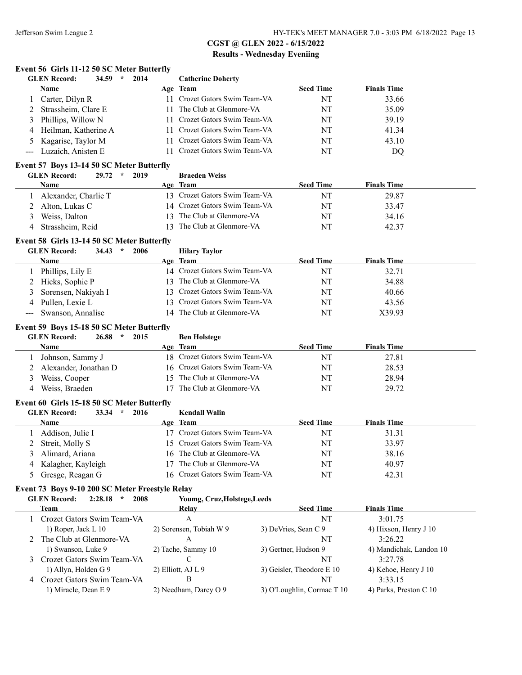#### **Event 56 Girls 11-12 50 SC Meter Butterfly**

|     | <b>GLEN</b> Record:<br>$34.59$ *<br>2014                                                      |     | <b>Catherine Doherty</b>      |                      |                           |                         |
|-----|-----------------------------------------------------------------------------------------------|-----|-------------------------------|----------------------|---------------------------|-------------------------|
|     | Name                                                                                          |     | Age Team                      |                      | <b>Seed Time</b>          | <b>Finals Time</b>      |
|     | Carter, Dilyn R                                                                               |     | 11 Crozet Gators Swim Team-VA |                      | NT                        | 33.66                   |
| 2   | Strassheim, Clare E                                                                           |     | 11 The Club at Glenmore-VA    |                      | NT                        | 35.09                   |
| 3   | Phillips, Willow N                                                                            |     | 11 Crozet Gators Swim Team-VA |                      | NT                        | 39.19                   |
| 4   | Heilman, Katherine A                                                                          | 11  | Crozet Gators Swim Team-VA    |                      | NT                        | 41.34                   |
| 5   | Kagarise, Taylor M                                                                            | 11  | Crozet Gators Swim Team-VA    |                      | NT                        | 43.10                   |
| --- | Luzaich, Anisten E                                                                            | 11  | Crozet Gators Swim Team-VA    |                      | NT                        | DQ                      |
|     | Event 57 Boys 13-14 50 SC Meter Butterfly                                                     |     |                               |                      |                           |                         |
|     | <b>GLEN Record:</b><br>29.72<br>$\star$<br>2019                                               |     | <b>Braeden Weiss</b>          |                      |                           |                         |
|     | Name                                                                                          |     | Age Team                      |                      | <b>Seed Time</b>          | <b>Finals Time</b>      |
|     | Alexander, Charlie T                                                                          |     | 13 Crozet Gators Swim Team-VA |                      | NT                        | 29.87                   |
|     | Alton, Lukas C                                                                                |     | 14 Crozet Gators Swim Team-VA |                      | NT                        | 33.47                   |
| 3   | Weiss, Dalton                                                                                 |     | 13 The Club at Glenmore-VA    |                      | NT                        | 34.16                   |
| 4   | Strassheim, Reid                                                                              | 13  | The Club at Glenmore-VA       |                      | NT                        | 42.37                   |
|     |                                                                                               |     |                               |                      |                           |                         |
|     | Event 58 Girls 13-14 50 SC Meter Butterfly<br><b>GLEN Record:</b><br>$\star$<br>2006<br>34.43 |     | <b>Hilary Taylor</b>          |                      |                           |                         |
|     | Name                                                                                          |     | Age Team                      |                      | <b>Seed Time</b>          | <b>Finals Time</b>      |
|     | Phillips, Lily E                                                                              |     | 14 Crozet Gators Swim Team-VA |                      | NT                        | 32.71                   |
| 2   | Hicks, Sophie P                                                                               |     | 13 The Club at Glenmore-VA    |                      | NT                        | 34.88                   |
| 3   | Sorensen, Nakiyah I                                                                           | 13  | Crozet Gators Swim Team-VA    |                      | NT                        | 40.66                   |
| 4   | Pullen, Lexie L                                                                               | 13. | Crozet Gators Swim Team-VA    |                      | NT                        | 43.56                   |
|     | Swanson, Annalise                                                                             |     | 14 The Club at Glenmore-VA    |                      | NT                        | X39.93                  |
|     |                                                                                               |     |                               |                      |                           |                         |
|     | Event 59 Boys 15-18 50 SC Meter Butterfly                                                     |     |                               |                      |                           |                         |
|     | <b>GLEN Record:</b><br>$\star$<br>26.88<br>2015                                               |     | <b>Ben Holstege</b>           |                      |                           |                         |
|     | <b>Name</b>                                                                                   |     | Age Team                      |                      | <b>Seed Time</b>          | <b>Finals Time</b>      |
| 1   | Johnson, Sammy J                                                                              |     | 18 Crozet Gators Swim Team-VA |                      | NT                        | 27.81                   |
| 2   | Alexander, Jonathan D                                                                         |     | 16 Crozet Gators Swim Team-VA |                      | NT                        | 28.53                   |
| 3   | Weiss, Cooper                                                                                 |     | 15 The Club at Glenmore-VA    |                      | NT                        | 28.94                   |
| 4   | Weiss, Braeden                                                                                |     | 17 The Club at Glenmore-VA    |                      | NT                        | 29.72                   |
|     | Event 60 Girls 15-18 50 SC Meter Butterfly                                                    |     |                               |                      |                           |                         |
|     | <b>GLEN Record:</b><br>$\star$<br>2016<br>33.34                                               |     | <b>Kendall Walin</b>          |                      |                           |                         |
|     | Name                                                                                          |     | Age Team                      |                      | <b>Seed Time</b>          | <b>Finals Time</b>      |
|     | 1 Addison, Julie I                                                                            |     | 17 Crozet Gators Swim Team-VA |                      | NT                        | 31.31                   |
| 2   | Streit, Molly S                                                                               |     | 15 Crozet Gators Swim Team-VA |                      | NT                        | 33.97                   |
|     | 3 Alimard, Ariana                                                                             |     | 16 The Club at Glenmore-VA    |                      | $\rm{NT}$                 | 38.16                   |
| 4   | Kalagher, Kayleigh                                                                            |     | 17 The Club at Glenmore-VA    |                      | NT                        | 40.97                   |
| 5   | Gresge, Reagan G                                                                              |     | 16 Crozet Gators Swim Team-VA |                      | NT                        | 42.31                   |
|     | Event 73 Boys 9-10 200 SC Meter Freestyle Relay                                               |     |                               |                      |                           |                         |
|     | <b>GLEN Record:</b><br>2:28.18<br>$\star$<br>2008                                             |     | Youmg, Cruz, Holstege, Leeds  |                      |                           |                         |
|     | <b>Team</b>                                                                                   |     | Relay                         |                      | <b>Seed Time</b>          | <b>Finals Time</b>      |
|     | Crozet Gators Swim Team-VA                                                                    |     | A                             |                      | NT                        | 3:01.75                 |
|     | 1) Roper, Jack L 10                                                                           |     | 2) Sorensen, Tobiah W 9       | 3) DeVries, Sean C 9 |                           | 4) Hixson, Henry J 10   |
|     | 2 The Club at Glenmore-VA                                                                     |     | A                             |                      | NT                        | 3:26.22                 |
|     | 1) Swanson, Luke 9                                                                            |     | 2) Tache, Sammy 10            | 3) Gertner, Hudson 9 |                           | 4) Mandichak, Landon 10 |
|     | Crozet Gators Swim Team-VA                                                                    |     | C                             |                      | NT                        | 3:27.78                 |
|     | 1) Allyn, Holden G 9                                                                          |     | 2) Elliott, AJ L 9            |                      | 3) Geisler, Theodore E 10 | 4) Kehoe, Henry J 10    |
|     | 4 Crozet Gators Swim Team-VA                                                                  |     | B                             |                      | NT                        | 3:33.15                 |

1) Miracle, Dean E 9 2) Needham, Darcy O 9 3) O'Loughlin, Cormac T 10 4) Parks, Preston C 10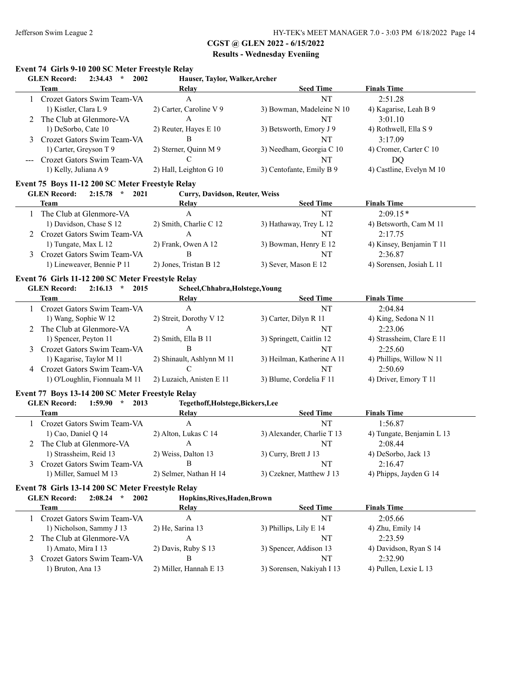# **CGST @ GLEN 2022 - 6/15/2022**

# **Results - Wednesday Eveniing**

# **Event 74 Girls 9-10 200 SC Meter Freestyle Relay<br>CLEN Becord: 2:34.43 \* 2002 Haus**

| <b>GLEN Record:</b><br>2002<br>Hauser, Taylor, Walker, Archer<br>2:34.43<br>$\star$ |                         |                           |                          |  |  |  |
|-------------------------------------------------------------------------------------|-------------------------|---------------------------|--------------------------|--|--|--|
| Team                                                                                | Relay                   | <b>Seed Time</b>          | <b>Finals Time</b>       |  |  |  |
| Crozet Gators Swim Team-VA                                                          | A                       | NT                        | 2:51.28                  |  |  |  |
| 1) Kistler, Clara L 9                                                               | 2) Carter, Caroline V 9 | 3) Bowman, Madeleine N 10 | 4) Kagarise, Leah B 9    |  |  |  |
| The Club at Glenmore-VA                                                             | А                       | NT                        | 3:01.10                  |  |  |  |
| 1) DeSorbo, Cate 10                                                                 | 2) Reuter, Hayes E 10   | 3) Betsworth, Emory J 9   | 4) Rothwell, Ella S 9    |  |  |  |
| 3 Crozet Gators Swim Team-VA                                                        | В                       | NT                        | 3:17.09                  |  |  |  |
| 1) Carter, Greyson T 9                                                              | 2) Sterner, Quinn M 9   | 3) Needham, Georgia C 10  | 4) Cromer, Carter C 10   |  |  |  |
| Crozet Gators Swim Team-VA<br>$- - -$                                               |                         | NT                        | DO                       |  |  |  |
| 1) Kelly, Juliana A 9                                                               | 2) Hall, Leighton G 10  | 3) Centofante, Emily B 9  | 4) Castline, Evelyn M 10 |  |  |  |

#### **Event 75 Boys 11-12 200 SC Meter Freestyle Relay**

**GLEN Record: 2:15.78 \* 2021 Curry, Davidson, Reuter, Weiss**

| Team                         | Relay                  | <b>Seed Time</b>       | <b>Finals Time</b>       |
|------------------------------|------------------------|------------------------|--------------------------|
| The Club at Glenmore-VA      |                        | NT                     | $2.0915*$                |
| 1) Davidson, Chase S 12      | 2) Smith, Charlie C 12 | 3) Hathaway, Trey L 12 | 4) Betsworth, Cam M 11   |
| 2 Crozet Gators Swim Team-VA |                        | NT                     | 2.1775                   |
| 1) Tungate, Max L 12         | 2) Frank, Owen A 12    | 3) Bowman, Henry E 12  | 4) Kinsey, Benjamin T 11 |
| 3 Crozet Gators Swim Team-VA |                        | NT                     | 2.3687                   |
| 1) Lineweaver, Bennie P 11   | 2) Jones, Tristan B 12 | 3) Sever, Mason E 12   | 4) Sorensen, Josiah L 11 |

#### **Event 76 Girls 11-12 200 SC Meter Freestyle Relay**

**GLEN Record: 2:16.13 \* 2015 Scheel,Chhabra,Holstege,Young**

|   | Team                          | Relay                     | <b>Seed Time</b>           | <b>Finals Time</b>        |
|---|-------------------------------|---------------------------|----------------------------|---------------------------|
|   | Crozet Gators Swim Team-VA    | Α                         | NT                         | 2:04.84                   |
|   | 1) Wang, Sophie W 12          | 2) Streit, Dorothy V 12   | 3) Carter, Dilyn R 11      | 4) King, Sedona N 11      |
|   | 2 The Club at Glenmore-VA     |                           | NT                         | 2:23.06                   |
|   | 1) Spencer, Peyton 11         | 2) Smith, Ella B 11       | 3) Springett, Caitlin 12   | 4) Strassheim, Clare E 11 |
|   | Crozet Gators Swim Team-VA    | в                         | NT                         | 2:25.60                   |
|   | 1) Kagarise, Taylor M 11      | 2) Shinault, Ashlynn M 11 | 3) Heilman, Katherine A 11 | 4) Phillips, Willow N 11  |
| 4 | Crozet Gators Swim Team-VA    |                           | NT                         | 2:50.69                   |
|   | 1) O'Loughlin, Fionnuala M 11 | 2) Luzaich, Anisten E 11  | 3) Blume, Cordelia F 11    | 4) Driver, Emory T 11     |

#### **Event 77 Boys 13-14 200 SC Meter Freestyle Relay**

#### **GLEN Record: 1:59.90 \* 2013 Tegethoff,Holstege,Bickers,Lee**

| Team                       | Relav                  | <b>Seed Time</b>           | <b>Finals Time</b>        |  |
|----------------------------|------------------------|----------------------------|---------------------------|--|
| Crozet Gators Swim Team-VA |                        | NT                         | 1:56.87                   |  |
| 1) Cao, Daniel Q $14$      | 2) Alton, Lukas C 14   | 3) Alexander, Charlie T 13 | 4) Tungate, Benjamin L 13 |  |
| 2 The Club at Glenmore-VA  |                        | NT                         | 2.0844                    |  |
| 1) Strassheim, Reid 13     | 2) Weiss, Dalton 13    | 3) Curry, Brett $J$ 13     | 4) DeSorbo, Jack 13       |  |
| Crozet Gators Swim Team-VA |                        | NT                         | 2:16.47                   |  |
| 1) Miller, Samuel M 13     | 2) Selmer, Nathan H 14 | 3) Czekner, Matthew J 13   | 4) Phipps, Jayden G 14    |  |

#### **Event 78 Girls 13-14 200 SC Meter Freestyle Relay**

**GLEN Record: 2:08.24 \* 2002 Hopkins,Rives,Haden,Brown**

| Team                         | Relay                  | <b>Seed Time</b>          | <b>Finals Time</b>     |
|------------------------------|------------------------|---------------------------|------------------------|
| Crozet Gators Swim Team-VA   |                        | NT                        | 2:05.66                |
| 1) Nicholson, Sammy J 13     | 2) He, Sarina 13       | 3) Phillips, Lily E 14    | 4) Zhu, Emily 14       |
| The Club at Glenmore-VA      |                        | NT                        | 2.2359                 |
| 1) Amato, Mira I 13          | 2) Davis, Ruby S 13    | 3) Spencer, Addison 13    | 4) Davidson, Ryan S 14 |
| 3 Crozet Gators Swim Team-VA |                        | NT                        | 2.3290                 |
| 1) Bruton, Ana 13            | 2) Miller, Hannah E 13 | 3) Sorensen, Nakiyah I 13 | 4) Pullen, Lexie L 13  |